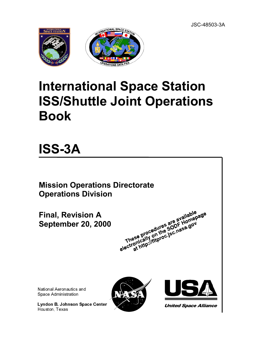JSC-48503-3A



# International Space Station ISS/Shuttle Joint Operations Book

ISS-3A

Mission Operations Directorate Operations Division

Final, Revision A September 20, 2000



National Aeronautics and Space Administration

Lyndon B. Johnson Space Center Houston, Texas





**United Space Alliance**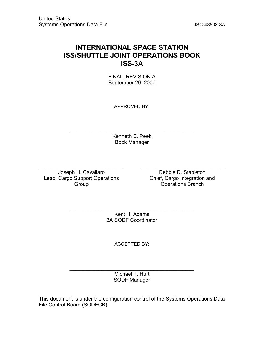# INTERNATIONAL SPACE STATION ISS/SHUTTLE JOINT OPERATIONS BOOK ISS-3A

FINAL, REVISION A September 20, 2000

APPROVED BY:

\_\_\_\_\_\_\_\_\_\_\_\_\_\_\_\_\_\_\_\_\_\_\_\_\_\_\_\_\_\_\_\_\_\_\_\_\_\_\_\_\_\_\_ Kenneth E. Peek Book Manager

Lead, Cargo Support Operations

 $\overline{\phantom{a}}$  , and the contribution of the contribution of the contribution of the contribution of the contribution of the contribution of the contribution of the contribution of the contribution of the contribution of the Joseph H. Cavallaro<br>
Cargo Support Operations<br>
Chief, Cargo Integration and Group Contract Contract Contract Contract Contract Operations Branch

> \_\_\_\_\_\_\_\_\_\_\_\_\_\_\_\_\_\_\_\_\_\_\_\_\_\_\_\_\_\_\_\_\_\_\_\_\_\_\_\_\_\_\_ Kent H. Adams 3A SODF Coordinator

> > ACCEPTED BY:

\_\_\_\_\_\_\_\_\_\_\_\_\_\_\_\_\_\_\_\_\_\_\_\_\_\_\_\_\_\_\_\_\_\_\_\_\_\_\_\_\_\_\_ Michael T. Hurt SODF Manager

This document is under the configuration control of the Systems Operations Data File Control Board (SODFCB).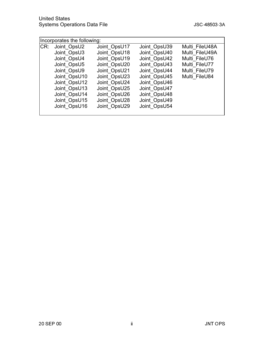|     | Incorporates the following: |              |              |                |
|-----|-----------------------------|--------------|--------------|----------------|
| CR: | Joint OpsU2                 | Joint OpsU17 | Joint OpsU39 | Multi FileU48A |
|     | Joint OpsU3                 | Joint OpsU18 | Joint OpsU40 | Multi FileU49A |
|     | Joint OpsU4                 | Joint OpsU19 | Joint OpsU42 | Multi FileU76  |
|     | Joint OpsU5                 | Joint OpsU20 | Joint OpsU43 | Multi FileU77  |
|     | Joint OpsU9                 | Joint OpsU21 | Joint OpsU44 | Multi FileU79  |
|     | Joint OpsU10                | Joint OpsU23 | Joint OpsU45 | Multi FileU84  |
|     | Joint OpsU12                | Joint OpsU24 | Joint OpsU46 |                |
|     | Joint OpsU13                | Joint OpsU25 | Joint OpsU47 |                |
|     | Joint OpsU14                | Joint OpsU26 | Joint OpsU48 |                |
|     | Joint OpsU15                | Joint OpsU28 | Joint OpsU49 |                |
|     | Joint OpsU16                | Joint OpsU29 | Joint OpsU54 |                |
|     |                             |              |              |                |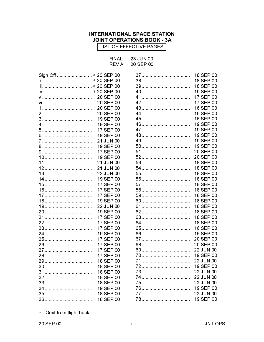# **INTERNATIONAL SPACE STATION** JOINT OPERATIONS BOOK - 3A

LIST OF EFFECTIVE PAGES

FINAL 23 JUN 00<br>REV A 20 SEP 00

|  |           |  | 18 SEP 00 |
|--|-----------|--|-----------|
|  |           |  | 18 SEP 00 |
|  |           |  | 18 SEP 00 |
|  |           |  | 19 SEP 00 |
|  | 20 SEP 00 |  | 17 SEP 00 |
|  | 20 SEP 00 |  | 17 SEP 00 |
|  | 20 SEP 00 |  | 16 SEP 00 |
|  | 20 SEP 00 |  | 16 SEP 00 |
|  | 19 SEP 00 |  | 16 SEP 00 |
|  | 19 SEP 00 |  | 19 SEP 00 |
|  | 17 SEP 00 |  | 19 SEP 00 |
|  | 19 SEP 00 |  | 19 SEP 00 |
|  | 21 JUN 00 |  | 19 SEP 00 |
|  | 19 SEP 00 |  | 19 SEP 00 |
|  | 17 SEP 00 |  | 20 SEP 00 |
|  | 19 SEP 00 |  | 20 SEP 00 |
|  | 21 JUN 00 |  | 18 SEP 00 |
|  | 21 JUN 00 |  | 18 SEP 00 |
|  | 22 JUN 00 |  | 18 SEP 00 |
|  | 19 SEP 00 |  | 18 SEP 00 |
|  |           |  | 18 SEP 00 |
|  | 17 SEP 00 |  |           |
|  | 17 SEP 00 |  | 18 SEP 00 |
|  | 17 SEP 00 |  | 18 SEP 00 |
|  | 19 SEP 00 |  | 18 SEP 00 |
|  | 22 JUN 00 |  | 18 SEP 00 |
|  | 19 SEP 00 |  | 18 SEP 00 |
|  | 17 SEP 00 |  | 18 SEP 00 |
|  | 17 SEP 00 |  | 18 SEP 00 |
|  | 17 SEP 00 |  | 16 SEP 00 |
|  | 19 SEP 00 |  | 16 SEP 00 |
|  | 17 SEP 00 |  | 20 SEP 00 |
|  | 17 SEP 00 |  | 20 SEP 00 |
|  | 17 SEP 00 |  | 22 JUN 00 |
|  | 17 SEP 00 |  | 19 SEP 00 |
|  | 18 SEP 00 |  | 22 JUN 00 |
|  | 18 SEP 00 |  | 19 SEP 00 |
|  | 18 SEP 00 |  | 22 JUN 00 |
|  | 18 SEP 00 |  | 22 JUN 00 |
|  | 18 SEP 00 |  | 22 JUN 00 |
|  | 19 SEP 00 |  | 19 SEP 00 |
|  | 18 SEP 00 |  | 22 JUN 00 |
|  | 18 SEP 00 |  | 19 SEP 00 |

\* - Omit from flight book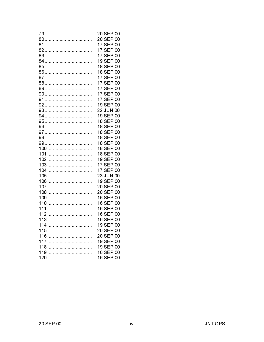|     | 20 SEP 00 |
|-----|-----------|
|     | 20 SEP 00 |
|     | 17 SEP 00 |
|     | 17 SEP 00 |
|     | 17 SEP 00 |
|     | 19 SEP 00 |
|     | 18 SEP 00 |
|     | 18 SEP 00 |
|     | 17 SEP 00 |
|     | 17 SEP 00 |
|     | 17 SEP 00 |
|     | 17 SEP 00 |
|     | 17 SEP 00 |
|     | 19 SEP 00 |
|     | 22 JUN 00 |
|     | 19 SEP 00 |
|     | 18 SEP 00 |
|     | 18 SEP 00 |
|     | 18 SEP 00 |
|     | 18 SEP 00 |
|     | 18 SEP 00 |
|     | 18 SEP 00 |
|     | 18 SEP 00 |
|     | 19 SEP 00 |
| 103 | 17 SEP 00 |
| 104 | 17 SEP 00 |
|     | 23 JUN 00 |
|     | 19 SEP 00 |
|     | 20 SEP 00 |
|     | 20 SEP 00 |
|     | 16 SEP 00 |
|     | 16 SEP 00 |
| 111 | 16 SEP 00 |
| 112 | 16 SEP 00 |
|     | 16 SEP 00 |
| 114 | 19 SEP 00 |
|     | 20 SEP 00 |
| 116 | 20 SEP 00 |
|     | 19 SEP 00 |
| 118 | 19 SEP 00 |
| 119 | 16 SEP 00 |
|     | 16 SEP 00 |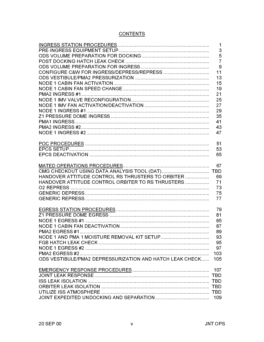### **CONTENTS**

|                                                          | $\mathbf 1$    |
|----------------------------------------------------------|----------------|
|                                                          | 3              |
|                                                          | 5              |
|                                                          | $\overline{7}$ |
|                                                          | 9              |
|                                                          | 11             |
|                                                          | 13             |
|                                                          | 15             |
|                                                          | 19             |
|                                                          | 21             |
|                                                          | 25             |
|                                                          | 27             |
|                                                          | 29             |
|                                                          | 35             |
|                                                          | 41             |
|                                                          | 43             |
|                                                          | 47             |
|                                                          |                |
|                                                          | 51             |
|                                                          | 53             |
|                                                          | 65             |
|                                                          | 67             |
|                                                          | <b>TBD</b>     |
| HANDOVER ATTITUDE CONTROL RS THRUSTERS TO ORBITER        | 69             |
| HANDOVER ATTITUDE CONTROL ORBITER TO RS THRUSTERS        | 71             |
|                                                          | 73             |
|                                                          | 75             |
|                                                          | 77             |
|                                                          |                |
|                                                          | 79             |
|                                                          | 81             |
|                                                          | 85             |
|                                                          | 87             |
|                                                          | 89             |
|                                                          | 93             |
|                                                          | 95             |
|                                                          | 97             |
|                                                          | 103            |
| ODS VESTIBULE/PMA2 DEPRESSURIZATION AND HATCH LEAK CHECK | 105            |
|                                                          | 107            |
|                                                          |                |
|                                                          |                |
|                                                          |                |
|                                                          |                |
|                                                          |                |
|                                                          |                |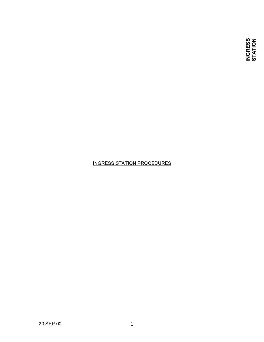# INGRESS STATION PROCEDURES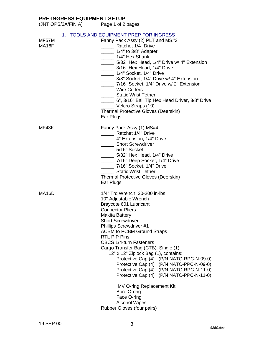#### **PRE-INGRESS EQUIPMENT SETUP**

| $(JNT OPS/3A/FIN A)$ Page 1 of 2 pages |                                                                                                                                                                                                                                                                                                                                                                                                                                                                                                                                                                       |
|----------------------------------------|-----------------------------------------------------------------------------------------------------------------------------------------------------------------------------------------------------------------------------------------------------------------------------------------------------------------------------------------------------------------------------------------------------------------------------------------------------------------------------------------------------------------------------------------------------------------------|
| MF57M<br>MA16F                         | 1. TOOLS AND EQUIPMENT PREP FOR INGRESS<br>Fanny Pack Assy (2) PLT and MS#3<br>______ Ratchet 1/4" Drive<br>$\frac{1}{4}$ 1/4" to 3/8" Adapter<br>1/4" Hex Shank<br>______ 5/32" Hex Head, 1/4" Drive w/ 4" Extension<br>_______ 3/16" Hex Head, 1/4" Drive<br>______ 1/4" Socket, 1/4" Drive<br>3/8" Socket, 1/4" Drive w/ 4" Extension<br>7/16" Socket, 1/4" Drive w/ 2" Extension<br>_____ Wire Cutters<br>______ Static Wrist Tether<br>6", 3/16" Ball Tip Hex Head Driver, 3/8" Drive<br>Velcro Straps (10)<br>Thermal Protective Gloves (Deerskin)<br>Ear Plugs |
| MF43K                                  | Fanny Pack Assy (1) MS#4<br>Ratchet 1/4" Drive<br>4" Extension, 1/4" Drive<br>______ Short Screwdriver<br>______ 5/16" Socket<br>______ 5/32" Hex Head, 1/4" Drive<br>7/16" Deep Socket, 1/4" Drive<br>_______ 7/16" Socket, 1/4" Drive<br><b>Static Wrist Tether</b><br>Thermal Protective Gloves (Deerskin)<br>Ear Plugs                                                                                                                                                                                                                                            |
| MA16D                                  | 1/4" Trq Wrench, 30-200 in-lbs<br>10" Adjustable Wrench<br>Braycote 601 Lubricant<br><b>Connector Pliers</b><br><b>Makita Battery</b><br><b>Short Screwdriver</b><br><b>Phillips Screwdriver #1</b><br><b>ACBM to PCBM Ground Straps</b><br><b>RTL PIP Pins</b><br><b>CBCS 1/4-turn Fasteners</b><br>Cargo Transfer Bag (CTB), Single (1)<br>12" x 12" Ziplock Bag (1), contains:<br>Protective Cap (4) (P/N NATC-RPC-N-09-0)<br>Protective Cap (4) (P/N NATC-PPC-N-09-0)<br>Protective Cap (4) (P/N NATC-RPC-N-11-0)<br>Protective Cap (4) (P/N NATC-PPC-N-11-0)     |
|                                        | <b>IMV O-ring Replacement Kit</b><br>Bore O-ring<br>Face O-ring<br><b>Alcohol Wipes</b><br>Rubber Gloves (four pairs)                                                                                                                                                                                                                                                                                                                                                                                                                                                 |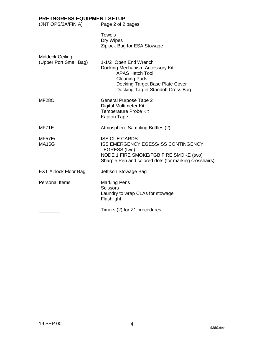# **PRE-INGRESS EQUIPMENT SETUP**

| <b>FRE-INGRESS EQUIFIMENT SETUP</b><br>(JNT OPS/3A/FIN A) | Page 2 of 2 pages                                                                                                                                                                     |
|-----------------------------------------------------------|---------------------------------------------------------------------------------------------------------------------------------------------------------------------------------------|
|                                                           | <b>Towels</b><br>Dry Wipes<br>Ziplock Bag for ESA Stowage                                                                                                                             |
| Middeck Ceiling<br>(Upper Port Small Bag)                 | 1-1/2" Open End Wrench<br>Docking Mechanism Accessory Kit<br><b>APAS Hatch Tool</b><br><b>Cleaning Pads</b><br>Docking Target Base Plate Cover<br>Docking Target Standoff Cross Bag   |
| <b>MF28O</b>                                              | General Purpose Tape 2"<br><b>Digital Multimeter Kit</b><br>Temperature Probe Kit<br><b>Kapton Tape</b>                                                                               |
| MF71E                                                     | Atmosphere Sampling Bottles (2)                                                                                                                                                       |
| <b>MF57E/</b><br><b>MA16G</b>                             | <b>ISS CUE CARDS</b><br><b>ISS EMERGENCY EGESS/ISS CONTINGENCY</b><br>EGRESS (two)<br>NODE 1 FIRE SMOKE/FGB FIRE SMOKE (two)<br>Sharpie Pen and colored dots (for marking crosshairs) |
| <b>EXT Airlock Floor Bag</b>                              | Jettison Stowage Bag                                                                                                                                                                  |
| <b>Personal Items</b>                                     | <b>Marking Pens</b><br><b>Scissors</b><br>Laundry to wrap CLAs for stowage<br>Flashlight                                                                                              |
|                                                           | Timers (2) for Z1 procedures                                                                                                                                                          |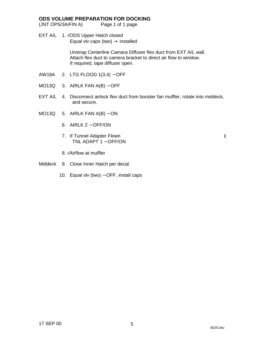#### **ODS VOLUME PREPARATION FOR DOCKING**

(JNT OPS/3A/FIN A) Page 1 of 1 page

EXT A/L 1. √ODS Upper Hatch closed Equal vlv caps (two)  $\rightarrow$  installed

> Unstrap Centerline Camara Diffuser flex duct from EXT A/L wall. Attach flex duct to camera bracket to direct air flow to window. If required, tape diffuser open.

- AW18A 2. LTG FLOOD 1(3,4) − OFF
- MO13Q 3. AIRLK FAN A(B) − OFF
- EXT A/L 4. Disconnect airlock flex duct from booster fan muffler, rotate into middeck, and secure.
- MO13Q 5. AIRLK FAN A(B) − ON
	- 6. AIRLK 2 − OFF/ON
	- 7. If Tunnel Adapter Flown TNL ADAPT 1 − OFF/ON

 $\mathbf{I}$ 

- 8. √Airflow at muffler
- Middeck 9. Close Inner Hatch per decal.
	- 10. Equal vlv (two) OFF, install caps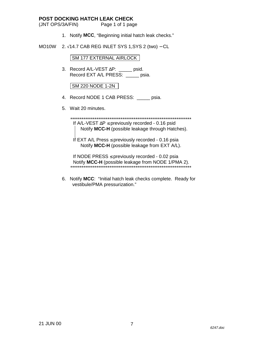#### POST DOCKING HATCH LEAK CHECK

|  | (JNT OPS/3A/FIN) | Page 1 of 1 page |
|--|------------------|------------------|
|--|------------------|------------------|

1. Notify MCC, "Beginning initial hatch leak checks."

MO10W 2.  $\sqrt{14.7}$  CAB REG INLET SYS 1, SYS 2 (two) – CL

SM 177 EXTERNAL AIRLOCK

3. Record A/L-VEST AP: psid. Record EXT A/L PRESS: psia.

SM 220 NODE 1-2N

- 4. Record NODE 1 CAB PRESS: \_\_\_\_\_ psia.
- 5. Wait 20 minutes.

If A/L-VEST  $\Delta P \le$  previously recorded - 0.16 psid Notify MCC-H (possible leakage through Hatches).

If EXT A/L Press  $\le$  previously recorded - 0.16 psia Notify MCC-H (possible leakage from EXT A/L).

If NODE PRESS  $\le$  previously recorded - 0.02 psia Notify MCC-H (possible leakage from NODE 1/PMA 2). 

6. Notify MCC: "Initial hatch leak checks complete. Ready for vestibule/PMA pressurization."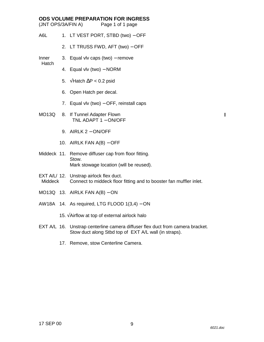#### **ODS VOLUME PREPARATION FOR INGRESS**

| (JNT OPS/3A/FIN A) | Page 1 of 1 page |  |
|--------------------|------------------|--|
|--------------------|------------------|--|

- A6L 1. LT VEST PORT, STBD (two) OFF
	- 2. LT TRUSS FWD, AFT (two) OFF
- Inner 3. Equal vlv caps (two) − remove

**Hatch** 

- 4. Equal vlv (two) NORM
- 5.  $\sqrt{\text{Hatch} \Delta P}$  < 0.2 psid
- 6. Open Hatch per decal.
- 7. Equal vlv (two) OFF, reinstall caps
- MO13Q 8. If Tunnel Adapter Flown TNL ADAPT 1 − ON/OFF
	- 9. AIRLK 2 − ON/OFF
	- 10. AIRLK FAN A(B) − OFF
- Middeck 11. Remove diffuser cap from floor fitting. Stow. Mark stowage location (will be reused).
- EXT A/L/ 12. Unstrap airlock flex duct. Middeck Connect to middeck floor fitting and to booster fan muffler inlet.
- MO13Q 13. AIRLK FAN A(B) − ON
- AW18A 14. As required, LTG FLOOD 1(3,4) − ON
	- 15. √Airflow at top of external airlock halo
- EXT A/L 16. Unstrap centerline camera diffuser flex duct from camera bracket. Stow duct along Stbd top of EXT A/L wall (in straps).
	- 17. Remove, stow Centerline Camera.

 $\mathbf{I}$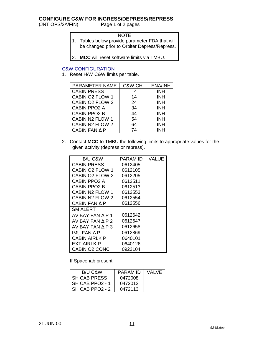#### **CONFIGURE C&W FOR INGRESS/DEPRESS/REPRESS**

(JNT OPS/3A/FIN) Page 1 of 2 pages

- **NOTE**
- 1. Tables below provide parameter FDA that will be changed prior to Orbiter Depress/Repress.
- 2. **MCC** will reset software limits via TMBU.

#### C&W CONFIGURATION

1. Reset H/W C&W limits per table.

| <b>PARAMETER NAME</b> | <b>C&amp;W CHL</b> | <b>ENA/INH</b> |
|-----------------------|--------------------|----------------|
| <b>CABIN PRESS</b>    | 4                  | <b>INH</b>     |
| CABIN O2 FLOW 1       | 14                 | <b>INH</b>     |
| CABIN O2 FLOW 2       | 24                 | <b>INH</b>     |
| <b>CABIN PPO2 A</b>   | 34                 | <b>INH</b>     |
| <b>CABIN PPO2 B</b>   | 44                 | <b>INH</b>     |
| CABIN N2 FLOW 1       | 54                 | <b>INH</b>     |
| CABIN N2 FLOW 2       | 64                 | <b>INH</b>     |
| CABIN FAN $\Delta$ P  | 74                 | <b>INH</b>     |

2. Contact **MCC** to TMBU the following limits to appropriate values for the given activity (depress or repress).

| B/U C&W                | PARAM ID | <b>VALUE</b> |
|------------------------|----------|--------------|
| <b>CABIN PRESS</b>     | 0612405  |              |
| CABIN O2 FLOW 1        | 0612105  |              |
| CABIN O2 FLOW 2        | 0612205  |              |
| CABIN PPO2 A           | 0612511  |              |
| CABIN PPO2 B           | 0612513  |              |
| CABIN N2 FLOW 1        | 0612553  |              |
| CABIN N2 FLOW 2        | 0612554  |              |
| CABIN FAN $\Delta$ P   | 0612556  |              |
| <b>SM ALERT</b>        |          |              |
| AV BAY FAN $\land$ P 1 | 0612642  |              |
| AV BAY FAN $\land$ P 2 | 0612647  |              |
| AV BAY FAN $\land$ P 3 | 0612658  |              |
| IMU FAN A P            | 0612869  |              |
| CABIN AIRLK P          | 0640101  |              |
| EXT AIRLK P            | 0640126  |              |
| CABIN O2 CONC          | 0922104  |              |

If Spacehab present

| B/U C&W             | <b>PARAM ID</b> | VAI VF |
|---------------------|-----------------|--------|
| <b>SH CAB PRESS</b> | 0472008         |        |
| SH CAB PPO2 - 1     | 0472012         |        |
| SH CAB PPO2 - 2     | 0472113         |        |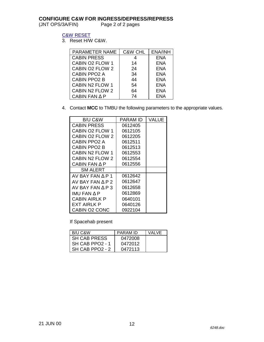# **CONFIGURE C&W FOR INGRESS/DEPRESS/REPRESS**<br>(JNT OPS/3A/FIN) Page 2 of 2 pages

(JNT OPS/3A/FIN)

#### C&W RESET

3. Reset H/W C&W.

| PARAMETER NAME       | <b>C&amp;W CHL</b> | <b>ENA/INH</b> |
|----------------------|--------------------|----------------|
| <b>CABIN PRESS</b>   | 4                  | <b>ENA</b>     |
| CABIN O2 FLOW 1      | 14                 | <b>ENA</b>     |
| CABIN O2 FLOW 2      | 24                 | <b>ENA</b>     |
| <b>CABIN PPO2 A</b>  | 34                 | <b>ENA</b>     |
| <b>CABIN PPO2 B</b>  | 44                 | <b>ENA</b>     |
| CABIN N2 FLOW 1      | 54                 | <b>ENA</b>     |
| CABIN N2 FLOW 2      | 64                 | <b>ENA</b>     |
| CABIN FAN $\Delta$ P | 74                 | <b>ENA</b>     |

4. Contact **MCC** to TMBU the following parameters to the appropriate values.

| B/U C&W                 | PARAM ID | <b>VALUE</b> |
|-------------------------|----------|--------------|
| <b>CABIN PRESS</b>      | 0612405  |              |
| CABIN O2 FLOW 1         | 0612105  |              |
| CABIN O2 FLOW 2         | 0612205  |              |
| CABIN PPO2 A            | 0612511  |              |
| CABIN PPO2 B            | 0612513  |              |
| CABIN N2 FLOW 1         | 0612553  |              |
| CABIN N2 FLOW 2         | 0612554  |              |
| CABIN FAN ∆ P           | 0612556  |              |
| SM ALERT                |          |              |
| AV BAY FAN $\Delta$ P 1 | 0612642  |              |
| AV BAY FAN $\land$ P 2  | 0612647  |              |
| AV BAY FAN $\Delta$ P 3 | 0612658  |              |
| IMU FAN A P             | 0612869  |              |
| CABIN AIRLK P           | 0640101  |              |
| EXT AIRLK P             | 0640126  |              |
| CABIN O2 CONC           | 0922104  |              |

If Spacehab present

| B/U C&W             | PARAM ID | VAI VF |
|---------------------|----------|--------|
| <b>SH CAB PRESS</b> | 0472008  |        |
| SH CAB PPO2 - 1     | 0472012  |        |
| SH CAB PPO2 - 2     | 0472113  |        |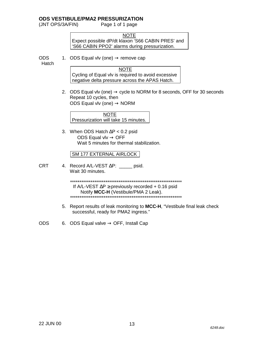#### **ODS VESTIBULE/PMA2 PRESSURIZATION**

| (JNT OPS/3A/FIN) |  |
|------------------|--|
|------------------|--|

Page 1 of 1 page

NOTE Expect possible dP/dt klaxon 'S66 CABIN PRES' and 'S66 CABIN PPO2' alarms during pressurization.

- 
- ODS 1. ODS Equal vlv (one)  $\rightarrow$  remove cap

**Hatch** 

NOTE Cycling of Equal vlv is required to avoid excessive negative delta pressure across the APAS Hatch.

2. ODS Equal vlv (one)  $\rightarrow$  cycle to NORM for 8 seconds, OFF for 30 seconds Repeat 10 cycles, then ODS Equal vlv (one)  $\rightarrow$  NORM

NOTE Pressurization will take 15 minutes.

3. When ODS Hatch ∆P < 0.2 psid ODS Equal vlv  $\rightarrow$  OFF Wait 5 minutes for thermal stabilization.

#### SM 177 EXTERNAL AIRLOCK

CRT 4. Record A/L-VEST ∆P: \_\_\_\_\_ psid. Wait 30 minutes.

> \*\*\*\*\*\*\*\*\*\*\*\*\*\*\*\*\*\*\*\*\*\*\*\*\*\*\*\*\*\*\*\*\*\*\*\*\*\*\*\*\*\*\*\*\*\*\*\*\*\*\*\*\*\*\*\*\*\*\*\* If A/L-VEST ∆P ≥ previously recorded + 0.16 psid Notify **MCC-H** (Vestibule/PMA 2 Leak). \*\*\*\*\*\*\*\*\*\*\*\*\*\*\*\*\*\*\*\*\*\*\*\*\*\*\*\*\*\*\*\*\*\*\*\*\*\*\*\*\*\*\*\*\*\*\*\*\*\*\*\*\*\*\*\*\*\*\*\*

- 5. Report results of leak monitoring to **MCC-H**, "Vestibule final leak check successful, ready for PMA2 ingress."
- ODS 6. ODS Equal valve  $\rightarrow$  OFF, Install Cap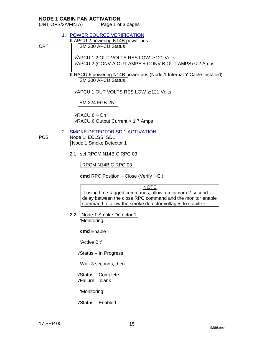#### **NODE 1 CABIN FAN ACTIVATION**

(JNT OPS/3A/FIN A) Page 1 of 3 pages

1. POWER SOURCE VERIFICATION If APCU 2 powering N14B power bus CRT | SM 200 APCU Status

√APCU 1,2 OUT VOLTS RES LOW ≥ 121 Volts √APCU 2 (CONV A OUT AMPS + CONV B OUT AMPS) < 2 Amps

If RACU 6 powering N14B power bus (Node 1 Internal Y Cable Installed) SM 200 APCU Status

√APCU 1 OUT VOLTS RES LOW ≥ 121 Volts

SM 224 FGB-2N

√RACU 6 − On √RACU 6 Output Current > 1.7 Amps

- 
- 2. SMOKE DETECTOR SD 1 ACTIVATION PCS Node 1: ECLSS: SD1 Node 1 Smoke Detector 1 |
	- 2.1 sel RPCM N14B C RPC 03

RPCM N14B C RPC 03

**cmd** RPC Position − Close (Verify − Cl)

NOTE

If using time-tagged commands, allow a minimum 2-second delay between the close RPC command and the monitor enable command to allow the smoke detector voltages to stabilize.

2.2 Node 1 Smoke Detector 1 'Monitoring'

**cmd** Enable

'Active Bit'

√Status – In Progress

Wait 3 seconds, then

√Status – Complete √Failure – blank

'Monitoring'

#### √Status – Enabled

17 SEP 00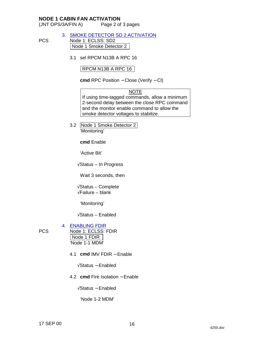#### **NODE 1 CABIN FAN ACTIVATION**

(JNT OPS/3A/FIN A) Page 2 of 3 pages

- 
- 3. SMOKE DETECTOR SD 2 ACTIVATION PCS Node 1: ECLSS: SD2 Node 1 Smoke Detector 2
	- 3.1 sel RPCM N13B A RPC 16

#### RPCM N13B A RPC 16

**cmd** RPC Position − Close (Verify − Cl)

#### NOTE

If using time-tagged commands, allow a minimum 2-second delay between the close RPC command and the monitor enable command to allow the smoke detector voltages to stabilize.

3.2 Node 1 Smoke Detector 2 'Monitoring'

**cmd** Enable

'Active Bit'

√Status – In Progress

Wait 3 seconds, then

√Status – Complete √Failure – blank

'Monitoring'

√Status – Enabled

4. ENABLING FDIR

PCS Node 1: ECLSS: FDIR Node 1 FDIR 'Node 1-1 MDM'

4.1 **cmd** IMV FDIR − Enable

√Status − Enabled

4.2 **cmd** Fire Isolation − Enable

√Status − Enabled

'Node 1-2 MDM'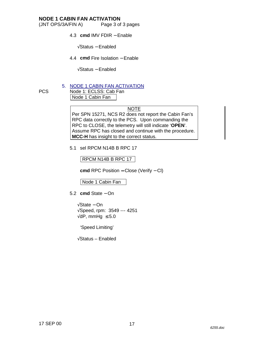#### **NODE 1 CABIN FAN ACTIVATION**

(JNT OPS/3A/FIN A) Page 3 of 3 pages

4.3 **cmd** IMV FDIR − Enable

√Status − Enabled

4.4 **cmd** Fire Isolation − Enable

√Status − Enabled

#### 5. NODE 1 CABIN FAN ACTIVATION

PCS Node 1: ECLSS: Cab Fan Node 1 Cabin Fan

# NOTE

Per SPN 15271, NCS R2 does not report the Cabin Fan's RPC data correctly to the PCS. Upon commanding the RPC to CLOSE, the telemetry will still indicate '**OPEN**'. Assume RPC has closed and continue with the procedure. **MCC-H** has insight to the correct status.

5.1 sel RPCM N14B B RPC 17

RPCM N14B B RPC 17

cmd RPC Position – Close (Verify – Cl)

Node 1 Cabin Fan

5.2 **cmd** State − On

√State − On √Speed, rpm: 3549 --- 4251  $\sqrt{d}P$ , mmHg  $\leq 5.0$ 

'Speed Limiting'

√Status – Enabled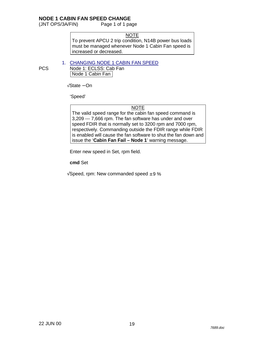#### **NODE 1 CABIN FAN SPEED CHANGE**

(JNT OPS/3A/FIN) Page 1 of 1 page

**NOTE** 

To prevent APCU 2 trip condition, N14B power bus loads must be managed whenever Node 1 Cabin Fan speed is increased or decreased.

#### 1. CHANGING NODE 1 CABIN FAN SPEED PCS Node 1: ECLSS: Cab Fan

Node 1 Cabin Fan

√State − On

'Speed'

#### **NOTE** The valid speed range for the cabin fan speed command is 3,209 --- 7,666 rpm. The fan software has under and over speed FDIR that is normally set to 3200 rpm and 7000 rpm, respectively. Commanding outside the FDIR range while FDIR is enabled will cause the fan software to shut the fan down and issue the '**Cabin Fan Fail – Node 1**' warning message.

Enter new speed in Set, rpm field.

**cmd** Set

 $\sqrt{\text{Speed}}$ , rpm: New commanded speed  $\pm$  9 %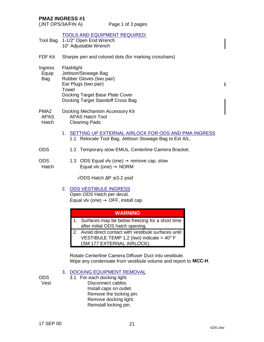**PMA2 INGRESS #1**

(JNT OPS/3A/FIN A) Page 1 of 3 pages

#### TOOLS AND EQUIPMENT REQUIRED:

Tool Bag 1-1/2" Open End Wrench 10" Adjustable Wrench

FDF Kit Sharpie pen and colored dots (for marking crosshairs)

Ingress Flashlight Equip Jettison/Stowage Bag Bag Rubber Gloves (two pair) Ear Plugs (two pair) Towel Docking Target Base Plate Cover Docking Target Standoff Cross Bag

PMA2 Docking Mechanism Accessory Kit APAS APAS Hatch Tool

Hatch Cleaning Pads

#### 1. SETTING UP EXTERNAL AIRLOCK FOR ODS AND PMA INGRESS 1.1 Relocate Tool Bag, Jettison Stowage Bag to Ext A/L.

- ODS 1.2 Temporary stow EMUs, Centerline Camera Bracket.
- ODS 1.3 ODS Equal vlv (one)  $\rightarrow$  remove cap, stow Hatch Equal vlv (one)  $\rightarrow$  NORM

√ODS Hatch ∆P ≤ 0.2 psid

#### 2. ODS VESTIBULE INGRESS

Open ODS Hatch per decal. Equal vlv (one)  $\rightarrow$  OFF, install cap

#### **WARNING**

- 1. Surfaces may be below freezing for a short time after initial ODS hatch opening.
- 2. Avoid direct contact with vestibule surfaces until VESTIBULE TEMP 1,2 (two) indicate > 40° F (SM 177 EXTERNAL AIRLOCK).

Rotate Centerline Camera Diffuser Duct into vestibule. Wipe any condensate from vestibule volume and report to **MCC-H**.

# 3. DOCKING EQUIPMENT REMOVAL

ODS 3.1 For each docking light Vest Disconnect cables. Install caps on outlet. Remove the locking pin. Remove docking light. Reinstall locking pin.

 $\mathbf I$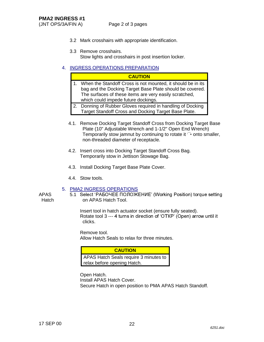- 3.2 Mark crosshairs with appropriate identification.
- 3.3 Remove crosshairs. Stow lights and crosshairs in post insertion locker.
- 4. INGRESS OPERATIONS PREPARATION

#### **CAUTION** 1. When the Standoff Cross is not mounted, it should be in its bag and the Docking Target Base Plate should be covered. The surfaces of these items are very easily scratched, which could impede future dockings.

- 2. Donning of Rubber Gloves required in handling of Docking Target Standoff Cross and Docking Target Base Plate.
- 4.1. Remove Docking Target Standoff Cross from Docking Target Base Plate (10" Adjustable Wrench and 1-1/2" Open End Wrench) Temporarily stow jamnut by continuing to rotate it  $\Omega$  onto smaller, non-threaded diameter of receptacle.
- 4.2. Insert cross into Docking Target Standoff Cross Bag. Temporarily stow in Jettison Stowage Bag.
- 4.3. Install Docking Target Base Plate Cover.
- 4.4. Stow tools.

#### 5. PMA2 INGRESS OPERATIONS

APAS 5.1 Select 'РАБОЧЕЕ ПОЛОЖЕНИЕ' (Working Position) torque setting Hatch on APAS Hatch Tool.

> Insert tool in hatch actuator socket (ensure fully seated). Rotate tool 3 --- 4 turns in direction of 'OTKP' (Open) arrow until it clicks.

Remove tool. Allow Hatch Seals to relax for three minutes.

#### **CAUTION**

APAS Hatch Seals require 3 minutes to relax before opening Hatch.

Open Hatch. Install APAS Hatch Cover. Secure Hatch in open position to PMA APAS Hatch Standoff.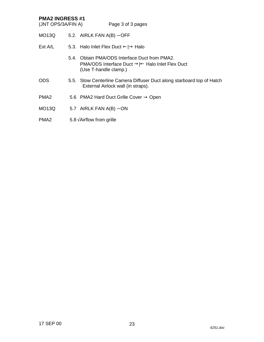### **PMA2 INGRESS #1**

| <b>PWAZ INGRESS #1</b><br>(JNT OPS/3A/FIN A) | Page 3 of 3 pages                                                                                                          |
|----------------------------------------------|----------------------------------------------------------------------------------------------------------------------------|
| MO <sub>13Q</sub>                            | 5.2. AIRLK FAN $A(B) - OFF$                                                                                                |
| Ext A/L                                      | 5.3. Halo Inlet Flex Duct $\leftarrow \rightarrow$ Halo                                                                    |
|                                              | 5.4. Obtain PMA/ODS Interface Duct from PMA2.<br>PMA/ODS Interface Duct →  ← Halo Inlet Flex Duct<br>(Use T-handle clamp.) |
| <b>ODS</b>                                   | 5.5. Stow Centerline Camera Diffuser Duct along starboard top of Hatch<br>External Airlock wall (in straps).               |
| PMA <sub>2</sub>                             | 5.6 PMA2 Hard Duct Grille Cover $\rightarrow$ Open                                                                         |
| MO <sub>13</sub> Q                           | 5.7 AIRLK FAN $A(B) - ON$                                                                                                  |
| PMA <sub>2</sub>                             | 5.8 $\sqrt{\text{Airflow}}$ from grille                                                                                    |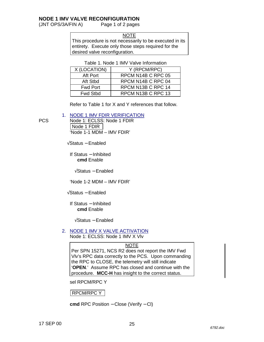#### **NODE 1 IMV VALVE RECONFIGURATION**

(JNT OPS/3A/FIN A) Page 1 of 2 pages

NOTE

This procedure is not necessarily to be executed in its entirety. Execute only those steps required for the desired valve reconfiguration.

| Table 1. Node 1 IMV Valve Information |  |  |  |
|---------------------------------------|--|--|--|
|---------------------------------------|--|--|--|

| X (LOCATION)    | Y (RPCM/RPC)       |
|-----------------|--------------------|
| Aft Port        | RPCM N14B C RPC 05 |
| Aft Stbd        | RPCM N14B C RPC 04 |
| <b>Fwd Port</b> | RPCM N13B C RPC 14 |
| <b>Fwd Stbd</b> | RPCM N13B C RPC 13 |

Refer to Table 1 for X and Y references that follow.

1. NODE 1 IMV FDIR VERIFICATION PCS Node 1: ECLSS: Node 1 FDIR Node 1 FDIR | 'Node 1-1 MDM – IMV FDIR'

√Status − Enabled

If Status − Inhibited **cmd** Enable

√Status − Enabled

'Node 1-2 MDM – IMV FDIR'

√Status − Enabled

If Status − Inhibited **cmd** Enable

√Status − Enabled

2. NODE 1 IMV X VALVE ACTIVATION Node 1: ECLSS: Node 1 IMV X Vlv

#### NOTE

Per SPN 15271, NCS R2 does not report the IMV Fwd Vlv's RPC data correctly to the PCS. Upon commanding the RPC to CLOSE, the telemetry will still indicate '**OPEN**.' Assume RPC has closed and continue with the procedure. **MCC-H** has insight to the correct status.

sel RPCM/RPC Y

RPCM/RPC Y

**cmd** RPC Position − Close (Verify − Cl)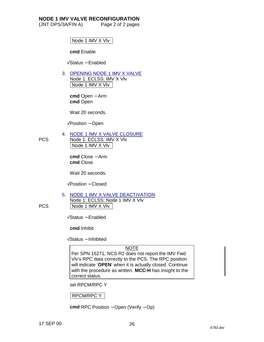#### **NODE 1 IMV VALVE RECONFIGURATION**

(JNT OPS/3A/FIN A) Page 2 of 2 pages

Node 1 IMV X Vlv

**cmd** Enable

√Status − Enabled

3. OPENING NODE 1 IMV X VALVE Node 1: ECLSS: IMV X Vlv Node 1 IMV X Vlv

**cmd** Open − Arm **cmd** Open

Wait 20 seconds.

√Position − Open

4. NODE 1 IMV X VALVE CLOSURE PCS Node 1: ECLSS: IMV X VIv Node 1 IMV X Vlv

> **cmd** Close − Arm **cmd** Close

Wait 20 seconds.

√Position − Closed

5. NODE 1 IMV X VALVE DEACTIVATION Node 1: ECLSS: Node 1 IMV X Vlv PCS | Node 1 IMV X VIv

√Status − Enabled

**cmd** Inhibit

√Status − Inhibited

#### **NOTE**

Per SPN 15271, NCS R2 does not report the IMV Fwd Vlv's RPC data correctly to the PCS. The RPC position will indicate '**OPEN**' when it is actually closed. Continue with the procedure as written. **MCC-H** has insight to the correct status.

sel RPCM/RPC Y

RPCM/RPC Y

**cmd** RPC Position − Open (Verify − Op)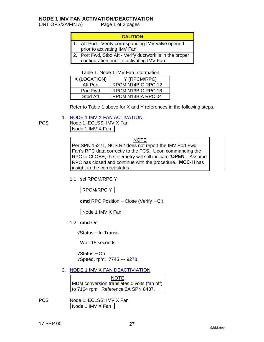#### **NODE 1 IMV FAN ACTIVATION/DEACTIVATION**

(JNT OPS/3A/FIN A) Page 1 of 2 pages

#### **CAUTION**

1. Aft Port - Verify corresponding IMV valve opened prior to activating IMV Fan.

2. Port Fwd, Stbd Aft - Verify ductwork is in the proper configuration prior to activating IMV Fan.

#### Table 1. Node 1 IMV Fan Information

| X (LOCATION) | Y (RPCM/RPC)       |
|--------------|--------------------|
| Aft Port     | RPCM N14B C RPC 12 |
| Port Fwd     | RPCM N13B C RPC 16 |
| Stbd Aft     | RPCM N13B A RPC 04 |

Refer to Table 1 above for X and Y references in the following steps.

#### 1. NODE 1 IMV X FAN ACTIVATION

PCS Node 1: ECLSS: IMV X Fan Node 1 IMV X Fan

#### **NOTE**

Per SPN 15271, NCS R2 does not report the IMV Port Fwd Fan's RPC data correctly to the PCS. Upon commanding the RPC to CLOSE, the telemetry will still indicate '**OPEN**'. Assume RPC has closed and continue with the procedure. **MCC-H** has insight to the correct status.

1.1 sel RPCM/RPC Y

**RPCM/RPC Y** 

**cmd** RPC Position − Close (Verify − Cl)

Node 1 IMV X Fan

1.2 **cmd** On

√Status − In Transit

Wait 15 seconds.

√Status − On √Speed, rpm: 7745 --- 9278

2. NODE 1 IMV X FAN DEACTIVIATION

**NOTE** MDM conversion translates 0 volts (fan off) to 7164 rpm. Reference 2A SPN 8437.

PCS Node 1: ECLSS: IMV X Fan Node 1 IMV X Fan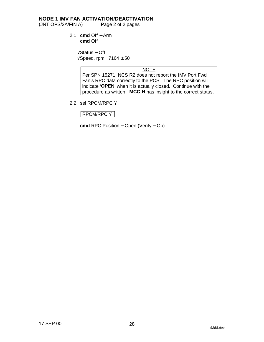#### **NODE 1 IMV FAN ACTIVATION/DEACTIVATION**

(JNT OPS/3A/FIN A) Page 2 of 2 pages

2.1 **cmd** Off − Arm **cmd** Off

> √Status − Off  $\sqrt{\text{Speed}}$ , rpm: 7164  $\pm$  50

#### NOTE

Per SPN 15271, NCS R2 does not report the IMV Port Fwd Fan's RPC data correctly to the PCS. The RPC position will indicate '**OPEN**' when it is actually closed. Continue with the procedure as written. **MCC-H** has insight to the correct status.

2.2 sel RPCM/RPC Y

RPCM/RPC Y

cmd RPC Position – Open (Verify – Op)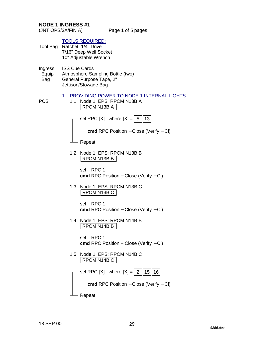# **NODE 1 INGRESS #1**

|                                | NULL I INGRESS #I<br>(JNT OPS/3A/FIN A)<br>Page 1 of 5 pages                                                 |  |
|--------------------------------|--------------------------------------------------------------------------------------------------------------|--|
|                                | <u>TOOLS REQUIRED:</u><br>Tool Bag Ratchet, 1/4" Drive<br>7/16" Deep Well Socket<br>10" Adjustable Wrench    |  |
| Ingress<br>Equip<br><b>Bag</b> | <b>ISS Cue Cards</b><br>Atmosphere Sampling Bottle (two)<br>General Purpose Tape, 2"<br>Jettison/Stowage Bag |  |
| <b>PCS</b>                     | <u>1. PROVIDING POWER TO NODE 1 INTERNAL LIGHTS</u><br>Node 1: EPS: RPCM N13B A<br>1.1<br>RPCM N13B A        |  |
|                                | sel RPC [X] where $[X] =   5  $<br> 13                                                                       |  |
|                                | <b>cmd</b> RPC Position – Close (Verify – CI)                                                                |  |
|                                | Repeat                                                                                                       |  |
|                                | Node 1: EPS: RPCM N13B B<br>1.2 <sub>1</sub><br>RPCM N13B B                                                  |  |
|                                | RPC <sub>1</sub><br>sel<br>cmd RPC Position $-$ Close (Verify $-$ CI)                                        |  |
|                                | 1.3 Node 1: EPS: RPCM N13B C<br>RPCM N13B C                                                                  |  |
|                                | sel RPC 1<br>cmd RPC Position - Close (Verify - CI)                                                          |  |
|                                | Node 1: EPS: RPCM N14B B<br>1.4<br>RPCM N14B B                                                               |  |
|                                | RPC 1<br>sel<br>cmd RPC Position $-$ Close (Verify $-$ CI)                                                   |  |
|                                | Node 1: EPS: RPCM N14B C<br>1.5<br>RPCM N14B C                                                               |  |
|                                | sel RPC [X] where $[X] =  2 $<br>  15<br>16                                                                  |  |
|                                | cmd RPC Position $-$ Close (Verify $-$ CI)                                                                   |  |
|                                | Repeat                                                                                                       |  |
|                                |                                                                                                              |  |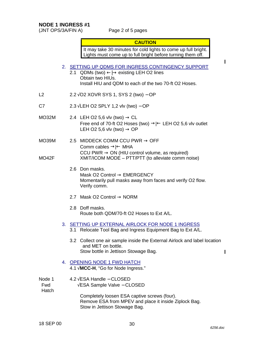(JNT OPS/3A/FIN A) Page 2 of 5 pages

#### **CAUTION**

It may take 30 minutes for cold lights to come up full bright. Lights must come up to full bright before turning them off.

- 2. SETTING UP QDMS FOR INGRESS CONTINGENCY SUPPORT
	- 2.1 QDMs (two) ←|→ existing LEH O2 lines Obtain two HIUs. Install HIU and QDM to each of the two 70-ft O2 Hoses.
- L2 2.2 √O2 XOVR SYS 1, SYS 2 (two) − OP
- C7 2.3 √LEH O2 SPLY 1,2 vlv (two) − OP
- MO32M 2.4 LEH O2 5,6 vlv (two)  $\rightarrow$  CL Free end of 70-ft O2 Hoses (two) →|← LEH O2 5,6 vlv outlet LEH O2 5,6 vlv (two)  $\rightarrow$  OP
- MO39M 2.5 MIDDECK COMM CCU PWR  $\rightarrow$  OFF Comm cables →|← MHA CCU PWR  $\rightarrow$  ON (HIU control volume, as required) MO42F XMIT/ICOM MODE – PTT/PTT (to alleviate comm noise)
	- 2.6 Don masks. Mask O2 Control → EMERGENCY Momentarily pull masks away from faces and verify O2 flow. Verify comm.
	- 2.7 Mask O2 Control  $\rightarrow$  NORM
	- 2.8 Doff masks. Route both QDM/70-ft O2 Hoses to Ext A/L.
	- 3. SETTING UP EXTERNAL AIRLOCK FOR NODE 1 INGRESS
		- 3.1 Relocate Tool Bag and Ingress Equipment Bag to Ext A/L.
		- 3.2 Collect one air sample inside the External Airlock and label location and MET on bottle. Stow bottle in Jettison Stowage Bag.
	- 4. OPENING NODE 1 FWD HATCH 4.1 √**MCC-H**, "Go for Node Ingress."

Node 1 4.2 √ESA Handle − CLOSED Fwd √ESA Sample Valve − CLOSED **Hatch** Completely loosen ESA captive screws (four).

Remove ESA from MPEV and place it inside Ziplock Bag. Stow in Jettison Stowage Bag.

 $\mathbf{I}$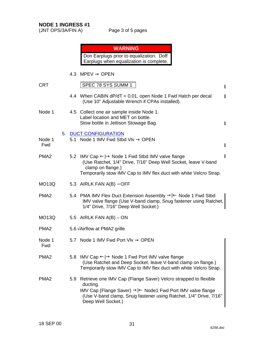(JNT OPS/3A/FIN A) Page 3 of 5 pages

|                   |     | <b>WARNING</b>                                                                                                                                                                                                                                              |   |
|-------------------|-----|-------------------------------------------------------------------------------------------------------------------------------------------------------------------------------------------------------------------------------------------------------------|---|
|                   |     | Don Earplugs prior to equalization. Doff<br>Earplugs when equalization is complete.                                                                                                                                                                         |   |
|                   | 4.3 | MPEV $\rightarrow$ OPEN                                                                                                                                                                                                                                     |   |
| <b>CRT</b>        |     | SPEC 78 SYS SUMM 1                                                                                                                                                                                                                                          | Ш |
|                   |     | 4.4 When CABIN dP/dT < 0.01, open Node 1 Fwd Hatch per decal<br>(Use 10" Adjustable Wrench if CPAs installed).                                                                                                                                              |   |
| Node 1            |     | 4.5 Collect one air sample inside Node 1.<br>Label location and MET on bottle.<br>Stow bottle in Jettison Stowage Bag.                                                                                                                                      |   |
| Node 1            |     | 5. DUCT CONFIGURATION<br>5.1 Node 1 IMV Fwd Stbd VIv $\rightarrow$ OPEN                                                                                                                                                                                     |   |
| Fwd               |     |                                                                                                                                                                                                                                                             | L |
| PMA <sub>2</sub>  |     | 5.2 IMV Cap $\leftarrow \rightarrow$ Node 1 Fwd Stbd IMV valve flange<br>(Use Ratchet, 1/4" Drive, 7/16" Deep Well Socket, leave V-band<br>clamp on flange.)<br>Temporarily stow IMV Cap to IMV flex duct with white Velcro Strap.                          |   |
| <b>MO13Q</b>      |     | 5.3 AIRLK FAN A(B) - OFF                                                                                                                                                                                                                                    |   |
| PMA <sub>2</sub>  |     | 5.4 PMA IMV Flex Duct Extension Assembly $\rightarrow$ $\leftarrow$ Node 1 Fwd Stbd<br>IMV valve flange (Use V-band clamp, Snug fastener using Ratchet,<br>1/4" Drive, 7/16" Deep Well Socket.)                                                             |   |
| MO <sub>13Q</sub> |     | 5.5 AIRLK FAN A(B) - ON                                                                                                                                                                                                                                     |   |
| PMA <sub>2</sub>  |     | 5.6 √Airflow at PMA2 grille                                                                                                                                                                                                                                 |   |
| Node 1<br>Fwd     |     | 5.7 Node 1 IMV Fwd Port VIv $\rightarrow$ OPEN                                                                                                                                                                                                              |   |
| PMA <sub>2</sub>  |     | 5.8 IMV Cap $\leftarrow \rightarrow$ Node 1 Fwd Port IMV valve flange<br>(Use Ratchet and Deep Socket, leave V-band clamp on flange.)<br>Temporarily stow IMV Cap to IMV flex duct with white Velcro Strap.                                                 |   |
| PMA <sub>2</sub>  | 5.9 | Retrieve one IMV Cap (Flange Saver) Velcro strapped to flexible<br>ducting.<br>IMV Cap (Flange Saver) $\rightarrow$ $\leftarrow$ Node1 Fwd Port IMV valve flange<br>(Use V-band clamp, Snug fastener using Ratchet, 1/4" Drive, 7/16"<br>Deep Well Socket.) |   |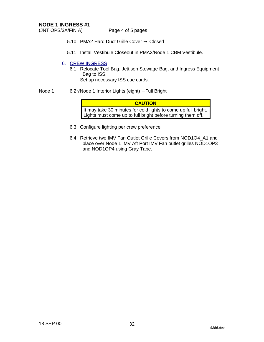(JNT OPS/3A/FIN A) Page 4 of 5 pages

- 5.10 PMA2 Hard Duct Grille Cover → Closed
- 5.11 Install Vestibule Closeout in PMA2/Node 1 CBM Vestibule.

### 6. CREW INGRESS

6.1 Relocate Tool Bag, Jettison Stowage Bag, and Ingress Equipment Bag to ISS. Set up necessary ISS cue cards.

Node 1 6.2 √Node 1 Interior Lights (eight) – Full Bright

**CAUTION** It may take 30 minutes for cold lights to come up full bright. Lights must come up to full bright before turning them off.

- 6.3 Configure lighting per crew preference.
- 6.4 Retrieve two IMV Fan Outlet Grille Covers from NOD1O4\_A1 and place over Node 1 IMV Aft Port IMV Fan outlet grilles NOD1OP3 and NOD1OP4 using Gray Tape.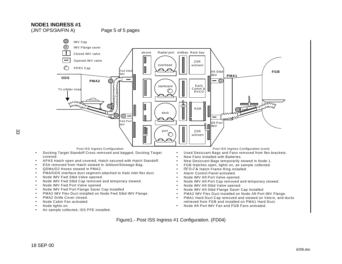(JNT OPS/3A/FIN A) Page 5 of 5 pages



- PMA2 IMV Flex Duct installed on Node Fwd Stbd IMV Flange.
- PMA2 Grille Cover closed.
- Node Cabin Fan activated.
- Node lights on.
- Air sample collected, ISS PFE installed.
- Node IMV Aft Stbd Flange Saver Cap Installed
- PMA2 IMV Flex Duct installed on Node Aft Port IMV Flange.
- PMA1 Hard Duct Cap removed and stowed on Velcro, and ducts retrieved from FGB and installed on PMA1 Hard Duct.
- Node Aft Port IMV Fan and FGB Fans activated.

Figure1.- Post ISS Ingress #1 Configuration. (FD04)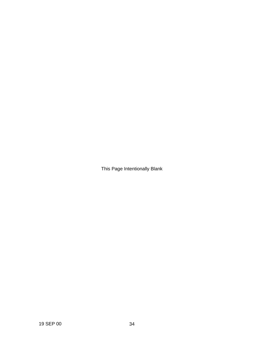This Page Intentionally Blank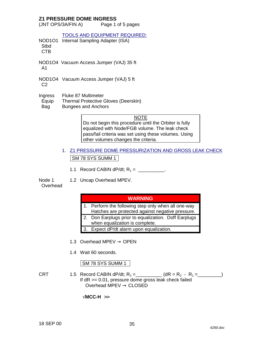(JNT OPS/3A/FIN A) Page 1 of 5 pages

### TOOLS AND EQUIPMENT REQUIRED:

- NOD1O1 Internal Sampling Adapter (ISA) Stbd CTB
- NOD1O4 Vacuum Access Jumper (VAJ) 35 ft A1
- NOD1O4 Vacuum Access Jumper (VAJ) 5 ft  $C<sub>2</sub>$
- Ingress Fluke 87 Multimeter Equip Thermal Protective Gloves (Deerskin) Bag Bungees and Anchors

**NOTE** Do not begin this procedure until the Orbiter is fully equalized with Node/FGB volume. The leak check pass/fail criteria was set using these volumes. Using other volumes changes the criteria.

- 1. Z1 PRESSURE DOME PRESSURIZATION AND GROSS LEAK CHECK SM 78 SYS SUMM 1
	- 1.1 Record CABIN dP/dt;  $R_1 =$  \_\_\_\_\_\_\_\_\_\_.
- Node 1 1.2 Uncap Overhead MPEV.

**Overhead** 

#### **WARNING**

- 1. Perform the following step only when all one-way Hatches are protected against negative pressure.
- 2. Don Earplugs prior to equalization. Doff Earplugs when equalization is complete.
- 3. Expect dP/dt alarm upon equalization.
- 1.3 Overhead MPEV  $\rightarrow$  OPEN
- 
- 1.4 Wait 60 seconds.

# SM 78 SYS SUMM 1

CRT 1.5 Record CABIN dP/dt;  $R_2 =$  (dR =  $R_2 - R_1 =$  ) If  $dR$   $>=$  0.01, pressure dome gross leak check failed Overhead MPEV  $\rightarrow$  CLOSED

√**MCC-H** >>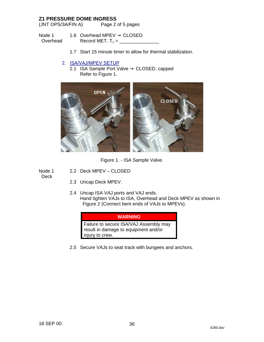(JNT OPS/3A/FIN A) Page 2 of 5 pages

Node 1  $1.6$  Overhead MPEV  $\rightarrow$  CLOSED Overhead Record MET,  $T_1 = \_$ 

- 1.7 Start 15 minute timer to allow for thermal stabilization.
- 2. ISA/VAJ/MPEV SETUP
	- 2.1 ISA Sample Port Valve  $\rightarrow$  CLOSED, capped Refer to Figure 1.



Figure 1. - ISA Sample Valve.

**Deck** 

- Node 1 2.2 Deck MPEV CLOSED
	- 2.3 Uncap Deck MPEV.
	- 2.4 Uncap ISA VAJ ports and VAJ ends. Hand tighten VAJs to ISA, Overhead and Deck MPEV as shown in Figure 2 (Connect bent ends of VAJs to MPEVs).

# **WARNING**

Failure to secure ISA/VAJ Assembly may result in damage to equipment and/or injury to crew.

2.5 Secure VAJs to seat track with bungees and anchors.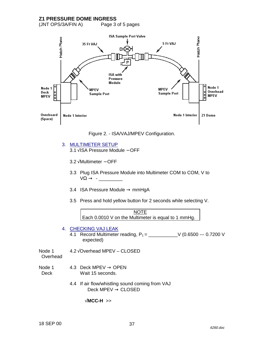(JNT OPS/3A/FIN A) Page 3 of 5 pages



Figure 2. - ISA/VAJ/MPEV Configuration.

# 3. MULTIMETER SETUP

- 3.1 √ISA Pressure Module − OFF
- 3.2 √Multimeter − OFF
- 3.3 Plug ISA Pressure Module into Multimeter COM to COM, V to  $\sqrt{\Omega} \rightarrow$  -
- 3.4 ISA Pressure Module  $\rightarrow$  mmHgA
- 3.5 Press and hold yellow button for 2 seconds while selecting V.

**NOTE** Each 0.0010 V on the Multimeter is equal to 1 mmHg.

# 4. CHECKING VAJ LEAK

4.1 Record Multimeter reading, P1 = \_\_\_\_\_\_\_\_\_\_\_V (0.6500 --- 0.7200 V expected)

Node 1 4.2 √Overhead MPEV – CLOSED

**Overhead** 

Node 1 4.3 Deck MPEV  $\rightarrow$  OPEN Deck Wait 15 seconds.

> 4.4 If air flow/whistling sound coming from VAJ Deck MPEV  $\rightarrow$  CLOSED

> > √**MCC-H** >>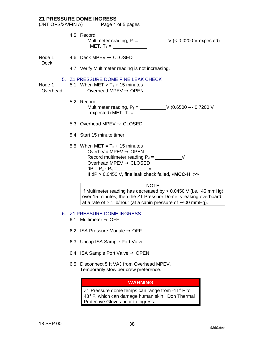|                       | (JNT OPS/3A/FIN A) Page 4 of 5 pages                                                                                                                                         |
|-----------------------|------------------------------------------------------------------------------------------------------------------------------------------------------------------------------|
|                       | 4.5 Record:                                                                                                                                                                  |
| Node 1<br><b>Deck</b> | 4.6 Deck MPEV $\rightarrow$ CLOSED                                                                                                                                           |
|                       | 4.7 Verify Multimeter reading is not increasing.                                                                                                                             |
| Node 1<br>Overhead    | 5. Z1 PRESSURE DOME FINE LEAK CHECK<br>5.1 When MET $>$ T <sub>1</sub> + 15 minutes<br>Overhead MPEV $\rightarrow$ OPEN                                                      |
|                       | 5.2 Record:                                                                                                                                                                  |
|                       | 5.3 Overhead MPEV $\rightarrow$ CLOSED                                                                                                                                       |
|                       | 5.4 Start 15 minute timer.                                                                                                                                                   |
|                       | 5.5 When MET = $T_3$ + 15 minutes<br>Overhead MPEV $\rightarrow$ OPEN<br>Overhead MPEV $\rightarrow$ CLOSED<br>If $dP > 0.0450$ V, fine leak check failed, $\sqrt{MCC-H} >>$ |
|                       | <b>NOTE</b>                                                                                                                                                                  |

If Multimeter reading has decreased by  $> 0.0450$  V (i.e., 45 mmHg) over 15 minutes; then the Z1 Pressure Dome is leaking overboard at a rate of > 1 lb/hour (at a cabin pressure of ∼700 mmHg).

- 6. Z1 PRESSURE DOME INGRESS
	- 6.1 Multimeter  $\rightarrow$  OFF
	- 6.2 ISA Pressure Module  $\rightarrow$  OFF
	- 6.3 Uncap ISA Sample Port Valve
	- 6.4 ISA Sample Port Valve  $\rightarrow$  OPEN
	- 6.5 Disconnect 5 ft VAJ from Overhead MPEV. Temporarily stow per crew preference.

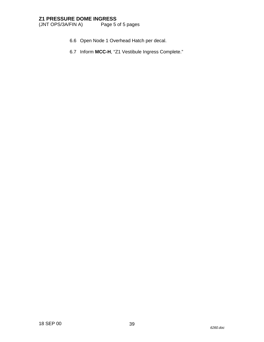**Z1 PRESSURE DOME INGRESS**<br>(JNT OPS/3A/FIN A) Page 5 of 5 pages  $(JNT OPS/3A/FIN A)$ 

- 6.6 Open Node 1 Overhead Hatch per decal.
- 6.7 Inform **MCC-H**, "Z1 Vestibule Ingress Complete."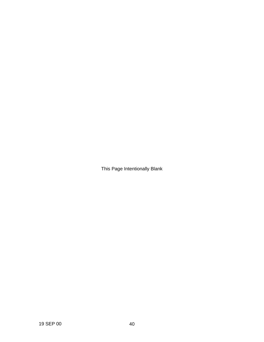This Page Intentionally Blank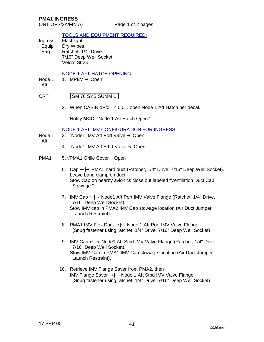**PMA1 INGRESS**

(JNT OPS/3A/FIN A) Page 1 of 2 pages

# TOOLS AND EQUIPMENT REQUIRED:

Ingress Flashlight Equip Dry Wipes Bag Ratchet, 1/4" Drive 7/16" Deep Well Socket Velcro Strap

# NODE 1 AFT HATCH OPENING

- Node 1 1. MPEV  $\rightarrow$  Open
- Aft

# CRT | SM 78 SYS SUMM 1

2. When CABIN dP/dT < 0.01, open Node 1 Aft Hatch per decal.

Notify **MCC**, "Node 1 Aft Hatch Open."

#### NODE 1 AFT IMV CONFIGURATION FOR INGRESS

- Node 1 3. Node1 IMV Aft Port Valve  $\rightarrow$  Open
- Aft
- 4. Node1 IMV Aft Stbd Valve  $\rightarrow$  Open
- PMA1 5. √PMA1 Grille Cover Open
	- 6. Cap ←|→ PMA1 hard duct (Ratchet, 1/4" Drive, 7/16" Deep Well Socket). Leave band clamp on duct. Stow Cap on nearby avionics close out labeled "Ventilation Duct Cap Stowage."
	- 7. IMV Cap  $\leftarrow \rightarrow$  Node1 Aft Port IMV Valve Flange (Ratchet, 1/4" Drive, 7/16" Deep Well Socket). Stow IMV cap in PMA2 IMV Cap stowage location (Air Duct Jumper Launch Restraint).
	- 8. PMA1 IMV Flex Duct →|← Node 1 Aft Port IMV Valve Flange (Snug fastener using ratchet, 1/4" Drive, 7/16" Deep Well Socket)
	- 9. IMV Cap ← → Node1 Aft Stbd IMV Valve Flange (Ratchet, 1/4" Drive, 7/16" Deep Well Socket). Stow IMV Cap in PMA1 IMV Cap stowage location (Air Duct Jumper Launch Restraint).
	- 10. Retrieve IMV Flange Saver from PMA2, then IMV Flange Saver →|← Node 1 Aft Stbd IMV Valve Flange (Snug fastener using ratchet, 1/4" Drive, 7/16" Deep Well Socket)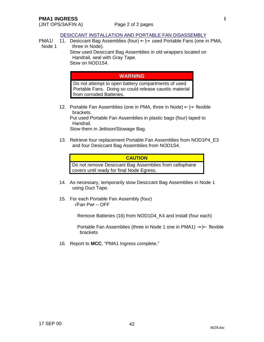# **PMA1 INGRESS**

(JNT OPS/3A/FIN A) Page 2 of 2 pages

#### DESICCANT INSTALLATION AND PORTABLE FAN DISASSEMBLY

- PMA1/ 11. Desiccant Bag Assemblies (four)  $\leftarrow \rightarrow$  used Portable Fans (one in PMA, Node 1 three in Node).
	- Stow used Desiccant Bag Assemblies in old wrappers located on Handrail, seal with Gray Tape. Stow on NOD1S4.

# **WARNING**

Do not attempt to open battery compartments of used Portable Fans. Doing so could release caustic material from corroded Batteries.

12. Portable Fan Assemblies (one in PMA, three in Node) ←|→ flexible brackets.

Put used Portable Fan Assemblies in plastic bags (four) taped to Handrail.

Stow them in Jettison/Stowage Bag.

13. Retrieve four replacement Portable Fan Assemblies from NOD1P4\_E3 and four Desiccant Bag Assemblies from NOD1S4.

# **CAUTION** Do not remove Desiccant Bag Assemblies from cellophane covers until ready for final Node Egress.

14. As necessary, temporarily stow Desiccant Bag Assemblies in Node 1 using Duct Tape.

42

15. For each Portable Fan Assembly (four) √Fan Pwr – OFF

Remove Batteries (16) from NOD1D4\_K4 and install (four each)

Portable Fan Assemblies (three in Node 1 one in PMA1) →|← flexible brackets

16. Report to **MCC**, "PMA1 Ingress complete."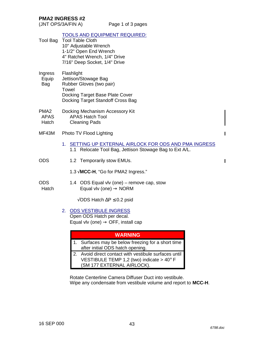**PMA2 INGRESS #2**

(JNT OPS/3A/FIN A) Page 1 of 3 pages

TOOLS AND EQUIPMENT REQUIRED:

- Tool Bag Tool Table Cloth 10" Adjustable Wrench 1-1/2" Open End Wrench 4" Ratchet Wrench, 1/4" Drive 7/16" Deep Socket, 1/4" Drive
- Ingress Flashlight Equip Jettison/Stowage Bag Bag Rubber Gloves (two pair) Towel Docking Target Base Plate Cover Docking Target Standoff Cross Bag

PMA2 Docking Mechanism Accessory Kit APAS APAS Hatch Tool

- Hatch Cleaning Pads
- MF43M Photo TV Flood Lighting
	- 1. SETTING UP EXTERNAL AIRLOCK FOR ODS AND PMA INGRESS 1.1 Relocate Tool Bag, Jettison Stowage Bag to Ext A/L.

ODS 1.2 Temporarily stow EMUs.

1.3 √**MCC-H**, "Go for PMA2 Ingress."

ODS 1.4 ODS Equal vlv (one) – remove cap, stow Hatch Equal vlv (one)  $\rightarrow$  NORM

√ODS Hatch ∆P ≤ 0.2 psid

#### 2. ODS VESTIBULE INGRESS Open ODS Hatch per decal. Equal vlv (one)  $\rightarrow$  OFF, install cap

# **WARNING**

- 1. Surfaces may be below freezing for a short time after initial ODS hatch opening.
- 2. Avoid direct contact with vestibule surfaces until VESTIBULE TEMP 1.2 (two) indicate  $> 40^{\circ}$  F (SM 177 EXTERNAL AIRLOCK).

Rotate Centerline Camera Diffuser Duct into vestibule. Wipe any condensate from vestibule volume and report to **MCC-H**.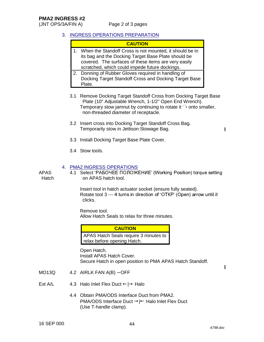# 3. INGRESS OPERATIONS PREPARATION

|         | <b>CAUTION</b>                                          |
|---------|---------------------------------------------------------|
| $1_{-}$ | When the Standoff Cross is not mounted, it should be in |
|         | its bag and the Docking Target Base Plate should be     |
|         | covered. The surfaces of these items are very easily    |
|         | scratched, which could impede future dockings.          |
|         |                                                         |

- 2. Donning of Rubber Gloves required in handling of Docking Target Standoff Cross and Docking Target Base Plate.
- 3.1 Remove Docking Target Standoff Cross from Docking Target Base Plate (10" Adjustable Wrench, 1-1/2" Open End Wrench). Temporary stow jamnut by continuing to rotate it  $\curvearrowright$  onto smaller, non-threaded diameter of receptacle.
- 3.2 Insert cross into Docking Target Standoff Cross Bag. Temporarily stow in Jettison Stowage Bag.
- 3.3 Install Docking Target Base Plate Cover.
- 3.4 Stow tools.

#### 4. PMA2 INGRESS OPERATIONS

APAS 4.1 Select 'PAБOЧEE ПОЛОЖЕНИЕ' (Working Position) torque setting Hatch on APAS hatch tool.

> Insert tool in hatch actuator socket (ensure fully seated). Rotate tool 3 --- 4 turns in direction of 'OTKP' (Open) arrow until it clicks.

Remove tool. Allow Hatch Seals to relax for three minutes.

#### **CAUTION**

APAS Hatch Seals require 3 minutes to relax before opening Hatch.

Open Hatch. Install APAS Hatch Cover. Secure Hatch in open position to PMA APAS Hatch Standoff.

- MO13Q 4.2 AIRLK FAN A(B) − OFF
- Ext A/L 4.3 Halo Inlet Flex Duct  $\leftarrow$   $\rightarrow$  Halo
	- 4.4 Obtain PMA/ODS Interface Duct from PMA2. PMA/ODS Interface Duct →|← Halo Inlet Flex Duct (Use T-handle clamp).

 $\mathbf I$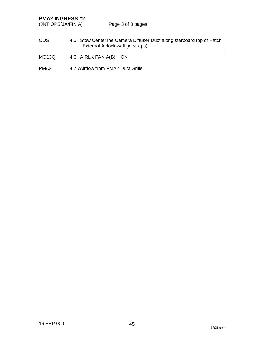**PMA2 INGRESS #2**

(JNT OPS/3A/FIN A) Page 3 of 3 pages

- ODS 4.5 Stow Centerline Camera Diffuser Duct along starboard top of Hatch External Airlock wall (in straps).  $\begin{array}{c} \hline \end{array}$
- MO13Q 4.6 AIRLK FAN A(B) − ON
- PMA2 4.7 √Airflow from PMA2 Duct Grille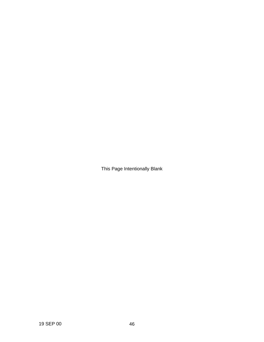This Page Intentionally Blank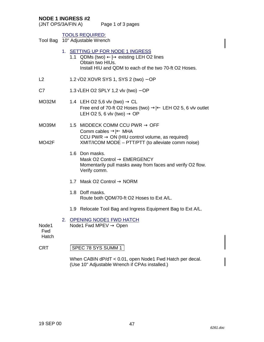$(JNT OPS/3 A/FIN A)$ 

|  | Page 1 of 3 pages |
|--|-------------------|
|  |                   |

# TOOLS REQUIRED:

Tool Bag 10" Adjustable Wrench

|                |  | 1. SETTING UP FOR NODE 1 INGRESS<br>1.1 QDMs (two) $\leftarrow \rightarrow$ existing LEH O2 lines<br>Obtain two HIUs.<br>Install HIU and QDM to each of the two 70-ft O2 Hoses.                              |
|----------------|--|--------------------------------------------------------------------------------------------------------------------------------------------------------------------------------------------------------------|
| L2             |  | 1.2 $\sqrt{O2}$ XOVR SYS 1, SYS 2 (two) – OP                                                                                                                                                                 |
| C7             |  | 1.3 $\sqrt{LEH}$ O2 SPLY 1,2 vlv (two) – OP                                                                                                                                                                  |
| MO32M          |  | 1.4 LEH O2 5,6 vlv (two) $\rightarrow$ CL<br>Free end of 70-ft O2 Hoses (two) $\rightarrow$ $\leftarrow$ LEH O2 5, 6 vlv outlet<br>LEH O2 5, 6 vlv (two) $\rightarrow$ OP                                    |
| MO39M<br>MO42F |  | 1.5 MIDDECK COMM CCU PWR $\rightarrow$ OFF<br>Comm cables $\rightarrow$ $\leftarrow$ MHA<br>CCU PWR $\rightarrow$ ON (HIU control volume, as required)<br>XMIT/ICOM MODE - PTT/PTT (to alleviate comm noise) |
|                |  | 1.6 Don masks.<br>Mask O2 Control $\rightarrow$ EMERGENCY<br>Momentarily pull masks away from faces and verify O2 flow.<br>Verify comm.                                                                      |
|                |  | 1.7 Mask O2 Control $\rightarrow$ NORM                                                                                                                                                                       |
|                |  | 1.8 Doff masks.<br>Route both QDM/70-ft O2 Hoses to Ext A/L.                                                                                                                                                 |
|                |  | 1.9 Relocate Tool Bag and Ingress Equipment Bag to Ext A/L.                                                                                                                                                  |

2. OPENING NODE1 FWD HATCH Node1  $\overline{\text{Node1} + \text{Fwd} \text{ MPEV} \rightarrow \text{Open}}$  Fwd Hatch

# CRT SPEC 78 SYS SUMM 1

When CABIN dP/dT < 0.01, open Node1 Fwd Hatch per decal. (Use 10" Adjustable Wrench if CPAs installed.)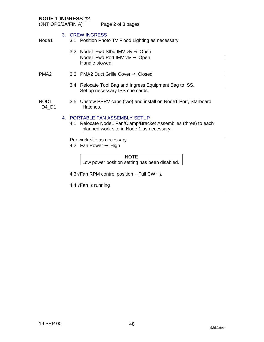| <b>NODE 1 INGRESS #2</b><br>(JNT OPS/3A/FIN A) | Page 2 of 3 pages                                                                                                                              |
|------------------------------------------------|------------------------------------------------------------------------------------------------------------------------------------------------|
| Node1                                          | 3. CREW INGRESS<br>3.1 Position Photo TV Flood Lighting as necessary                                                                           |
|                                                | 3.2 Node1 Fwd Stbd IMV vlv $\rightarrow$ Open<br>Node1 Fwd Port IMV vlv $\rightarrow$ Open<br>Handle stowed.                                   |
| PMA <sub>2</sub>                               | 3.3 PMA2 Duct Grille Cover $\rightarrow$ Closed                                                                                                |
|                                                | 3.4 Relocate Tool Bag and Ingress Equipment Bag to ISS.<br>Set up necessary ISS cue cards.                                                     |
| NOD1<br>$D4_D1$                                | 3.5 Unstow PPRV caps (two) and install on Node1 Port, Starboard<br>Hatches.                                                                    |
|                                                | 4. PORTABLE FAN ASSEMBLY SETUP<br>4.1 Relocate Node1 Fan/Clamp/Bracket Assemblies (three) to each<br>planned work site in Node 1 as necessary. |

Per work site as necessary

4.2 Fan Power  $\rightarrow$  High

NOTE Low power position setting has been disabled.

- 4.3 √Fan RPM control position − Full CW
- 4.4 √Fan is running

 $\mathbf{I}$ 

 $\mathbf{I}$ 

 $\overline{1}$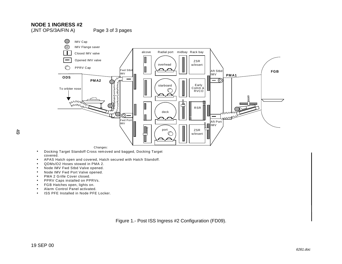(JNT OPS/3A/FIN A) Page 3 of 3 pages



Changes:

- Docking Target Standoff Cross removed and bagged, Docking Target covered.
- APAS Hatch open and covered, Hatch secured with Hatch Standoff.
- QDMs/O2 Hoses stowed in PMA 2.
- Node IMV Fwd Stbd Valve opened.
- Node IMV Fwd Port Valve opened.
- PMA 2 Grille Cover closed.
- PPRV Caps installed on PPRVs.
- FGB Hatches open, lights on.
- Alarm Control Panel activated.
- ISS PFE Installed in Node PFE Locker.

Figure 1.- Post ISS Ingress #2 Configuration (FD09).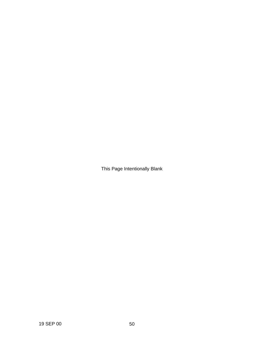This Page Intentionally Blank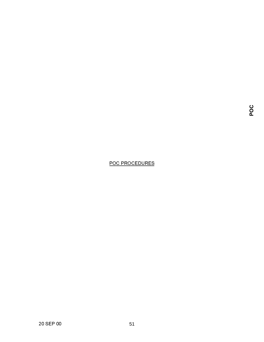# POC PROCEDURES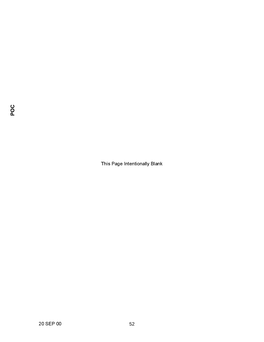This Page Intentionally Blank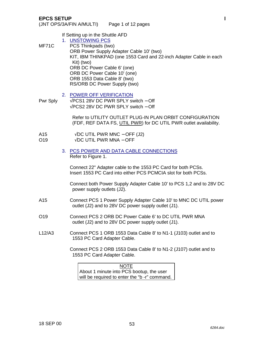**EPCS SETUP**

(JNT OPS/3A/FIN A/MULTI) Page 1 of 12 pages

If Setting up in the Shuttle AFD

1. UNSTOWING PCS MF71C PCS Thinkpads (two) ORB Power Supply Adapter Cable 10' (two) KIT, IBM THINKPAD (one 1553 Card and 22-inch Adapter Cable in each Kit) (two) ORB DC Power Cable 6' (one) ORB DC Power Cable 10' (one) ORB 1553 Data Cable 8' (two) RS/ORB DC Power Supply (two)

2. POWER OFF VERIFICATION Pwr Sply √PCS1 28V DC PWR SPLY switch − Off √PCS2 28V DC PWR SPLY switch − Off

> Refer to UTILITY OUTLET PLUG-IN PLAN ORBIT CONFIGURATION (FDF, REF DATA FS, UTIL PWR) for DC UTIL PWR outlet availability.

| A15             | $\sqrt{DC}$ UTIL PWR MNC – OFF (J2) |
|-----------------|-------------------------------------|
| O <sub>19</sub> | $\sqrt{DC}$ UTIL PWR MNA – OFF      |

3. PCS POWER AND DATA CABLE CONNECTIONS Refer to Figure 1.

Connect 22" Adapter cable to the 1553 PC Card for both PCSs. Insert 1553 PC Card into either PCS PCMCIA slot for both PCSs.

Connect both Power Supply Adapter Cable 10' to PCS 1,2 and to 28V DC power supply outlets (J2).

- A15 Connect PCS 1 Power Supply Adapter Cable 10' to MNC DC UTIL power outlet (J2) and to 28V DC power supply outlet (J1).
- O19 Connect PCS 2 ORB DC Power Cable 6' to DC UTIL PWR MNA outlet (J2) and to 28V DC power supply outlet (J1).
- L12/A3 Connect PCS 1 ORB 1553 Data Cable 8' to N1-1 (J103) outlet and to 1553 PC Card Adapter Cable.

Connect PCS 2 ORB 1553 Data Cable 8' to N1-2 (J107) outlet and to 1553 PC Card Adapter Cable.

**NOTE** About 1 minute into PCS bootup, the user will be required to enter the "b -r" command.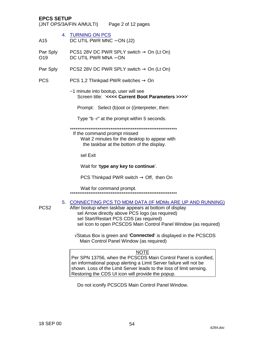# **EPCS SETUP**

- 4. TURNING ON PCS A15 DC UTIL PWR MNC − ON (J2)
- Pwr Sply PCS1 28V DC PWR SPLY switch  $\rightarrow$  On (Lt On) O19 DC UTIL PWR MNA − ON
- Pwr Sply PCS2 28V DC PWR SPLY switch  $\rightarrow$  On (Lt On)
- PCS PCS 1,2 Thinkpad PWR switches  $\rightarrow$  On
	- ~1 minute into bootup, user will see Screen title: '**<<<< Current Boot Parameters >>>>**'
		- Prompt: Select (b)oot or (i)nterpreter, then:
		- Type "b -r" at the prompt within 5 seconds.

\*\*\*\*\*\*\*\*\*\*\*\*\*\*\*\*\*\*\*\*\*\*\*\*\*\*\*\*\*\*\*\*\*\*\*\*\*\*\*\*\*\*\*\*\*\*\*\*\*\*\*\*\*\*\*\*\*\* If the command prompt missed Wait 2 minutes for the desktop to appear with

the taskbar at the bottom of the display.

sel Exit

Wait for '**type any key to continue**'.

PCS Thinkpad PWR switch  $\rightarrow$  Off, then On

Wait for command prompt. \*\*\*\*\*\*\*\*\*\*\*\*\*\*\*\*\*\*\*\*\*\*\*\*\*\*\*\*\*\*\*\*\*\*\*\*\*\*\*\*\*\*\*\*\*\*\*\*\*\*\*\*\*\*\*\*\*\*

- 5. CONNECTING PCS TO MDM DATA (IF MDMs ARE UP AND RUNNING)
- PCS2 After bootup when taskbar appears at bottom of display sel Arrow directly above PCS logo (as required) sel Start/Restart PCS CDS (as required) sel Icon to open PCSCDS Main Control Panel Window (as required)

<sup>√</sup>Status Box is green and '**Connected**' is displayed in the PCSCDS Main Control Panel Window (as required)

| <b>NOTE</b>                                                         |
|---------------------------------------------------------------------|
| Per SPN 13756, when the PCSCDS Main Control Panel is iconified,     |
| an informational popup alerting a Limit Server failure will not be  |
| shown. Loss of the Limit Server leads to the loss of limit sensing. |
| Restoring the CDS UI icon will provide the popup.                   |

Do not iconify PCSCDS Main Control Panel Window.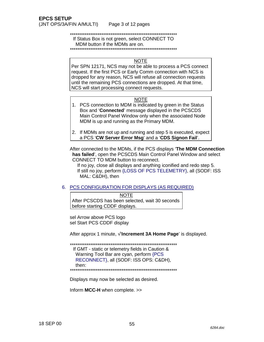\*\*\*\*\*\*\*\*\*\*\*\*\*\*\*\*\*\*\*\*\*\*\*\*\*\*\*\*\*\*\*\*\*\*\*\*\*\*\*\*\*\*\*\*\*\*\*\*\*\*\*\*\*\*\*\*\*\*

If Status Box is not green, select CONNECT TO

MDM button if the MDMs are on.

\*\*\*\*\*\*\*\*\*\*\*\*\*\*\*\*\*\*\*\*\*\*\*\*\*\*\*\*\*\*\*\*\*\*\*\*\*\*\*\*\*\*\*\*\*\*\*\*\*\*\*\*\*\*\*\*\*\*

### **NOTE**

Per SPN 12171, NCS may not be able to process a PCS connect request. If the first PCS or Early Comm connection with NCS is dropped for any reason, NCS will refuse all connection requests until the remaining PCS connections are dropped. At that time, NCS will start processing connect requests.

#### **NOTE**

- 1. PCS connection to MDM is indicated by green in the Status Box and '**Connected**' message displayed in the PCSCDS Main Control Panel Window only when the associated Node MDM is up and running as the Primary MDM.
- 2. If MDMs are not up and running and step 5 is executed, expect a PCS '**CW Server Error Msg**' and a '**CDS Signon Fail**'.
- After connected to the MDMs, if the PCS displays '**The MDM Connection has failed**', open the PCSCDS Main Control Panel Window and select CONNECT TO MDM button to reconnect.

If no joy, close all displays and anything iconified and redo step 5. If still no joy, perform {LOSS OF PCS TELEMETRY}, all (SODF: ISS MAL: C&DH), then

#### 6. PCS CONFIGURATION FOR DISPLAYS (AS REQUIRED)

NOTE After PCSCDS has been selected, wait 30 seconds before starting CDDF displays.

sel Arrow above PCS logo sel Start PCS CDDF display

After approx 1 minute, √'**Increment 3A Home Page**' is displayed.

\*\*\*\*\*\*\*\*\*\*\*\*\*\*\*\*\*\*\*\*\*\*\*\*\*\*\*\*\*\*\*\*\*\*\*\*\*\*\*\*\*\*\*\*\*\*\*\*\*\*\*\*\*\*\*\*\*\* If GMT - static or telemetry fields in Caution & Warning Tool Bar are cyan, perform {PCS RECONNECT}, all (SODF: ISS OPS: C&DH), then: \*\*\*\*\*\*\*\*\*\*\*\*\*\*\*\*\*\*\*\*\*\*\*\*\*\*\*\*\*\*\*\*\*\*\*\*\*\*\*\*\*\*\*\*\*\*\*\*\*\*\*\*\*\*\*\*\*\*

Displays may now be selected as desired.

Inform **MCC-H** when complete. >>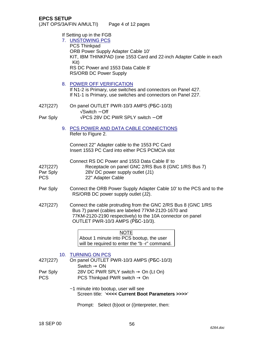**EPCS SETUP**

(JNT OPS/3A/FIN A/MULTI) Page 4 of 12 pages

|                                    |     | If Setting up in the FGB<br>7. UNSTOWING PCS<br><b>PCS Thinkpad</b><br>ORB Power Supply Adapter Cable 10'<br>KIT, IBM THINKPAD (one 1553 Card and 22-inch Adapter Cable in each<br>Kit)<br>RS DC Power and 1553 Data Cable 8'<br><b>RS/ORB DC Power Supply</b> |
|------------------------------------|-----|----------------------------------------------------------------------------------------------------------------------------------------------------------------------------------------------------------------------------------------------------------------|
|                                    |     | 8. POWER OFF VERIFICATION<br>If N1-2 is Primary, use switches and connectors on Panel 427.<br>If N1-1 is Primary, use switches and connectors on Panel 227.                                                                                                    |
| 427(227)<br>Pwr Sply               |     | On panel OUTLET PWR-10/3 AMPS (PBC-10/3)<br>$\sqrt{\text{Switch}} - \text{Off}$<br>$\sqrt{PCS}$ 28V DC PWR SPLY switch – Off                                                                                                                                   |
|                                    |     | 9. PCS POWER AND DATA CABLE CONNECTIONS<br>Refer to Figure 2.                                                                                                                                                                                                  |
|                                    |     | Connect 22" Adapter cable to the 1553 PC Card<br>Insert 1553 PC Card into either PCS PCMCIA slot                                                                                                                                                               |
| 427(227)<br>Pwr Sply<br><b>PCS</b> |     | Connect RS DC Power and 1553 Data Cable 8' to<br>Receptacle on panel GNC 2/RS Bus 8 (GNC 1/RS Bus 7)<br>28V DC power supply outlet (J1)<br>22" Adapter Cable                                                                                                   |
| Pwr Sply                           |     | Connect the ORB Power Supply Adapter Cable 10' to the PCS and to the<br>RS/ORB DC power supply outlet (J2).                                                                                                                                                    |
| 427(227)                           |     | Connect the cable protruding from the GNC 2/RS Bus 8 (GNC 1/RS<br>Bus 7) panel (cables are labeled 77KM-2120-1670 and<br>77KM-2120-2190 respectively) to the 10A connector on panel<br>OUTLET PWR-10/3 AMPS (PBC-10/3).                                        |
|                                    |     | <b>NOTE</b><br>About 1 minute into PCS bootup, the user<br>will be required to enter the "b -r" command.                                                                                                                                                       |
| 427(227)<br>Pwr Sply<br><b>PCS</b> | 10. | <b>TURNING ON PCS</b><br>On panel OUTLET PWR-10/3 AMPS (PBC-10/3)<br>Switch $\rightarrow$ ON<br>28V DC PWR SPLY switch $\rightarrow$ On (Lt On)<br>PCS Thinkpad PWR switch $\rightarrow$ On                                                                    |
|                                    |     | ~1 minute into bootup, user will see<br>Screen title: '<<<< Current Boot Parameters >>>>'                                                                                                                                                                      |
|                                    |     | Prompt: Select (b) oot or (i) nterpreter, then:                                                                                                                                                                                                                |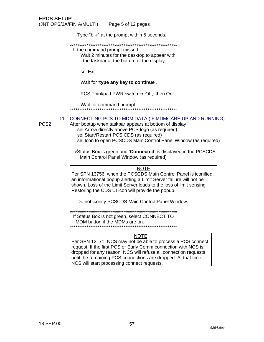**EPCS SETUP** (JNT OPS/3A/FIN A/MULTI)

Page 5 of 12 pages

Type "b -r" at the prompt within 5 seconds.

#### 

If the command prompt missed

Wait 2 minutes for the desktop to appear with the taskbar at the bottom of the display.

sel Exit

Wait for 'type any key to continue'.

PCS Thinkpad PWR switch  $\rightarrow$  Off, then On

Wait for command prompt.

# 11. CONNECTING PCS TO MDM DATA (IF MDMs ARE UP AND RUNNING)

PCS<sub>2</sub>

After bootup when taskbar appears at bottom of display sel Arrow directly above PCS logo (as required) sel Start/Restart PCS CDS (as required) sel Icon to open PCSCDS Main Control Panel Window (as required)

 $\sqrt{3}$  Status Box is green and 'Connected' is displayed in the PCSCDS Main Control Panel Window (as required)

**NOTE** Per SPN 13756, when the PCSCDS Main Control Panel is iconified, an informational popup alerting a Limit Server failure will not be shown. Loss of the Limit Server leads to the loss of limit sensing. Restoring the CDS UI icon will provide the popup.

Do not iconify PCSCDS Main Control Panel Window.

If Status Box is not green, select CONNECT TO MDM button if the MDMs are on.

# **NOTE**

Per SPN 12171, NCS may not be able to process a PCS connect request. If the first PCS or Early Comm connection with NCS is dropped for any reason, NCS will refuse all connection requests until the remaining PCS connections are dropped. At that time, NCS will start processing connect requests.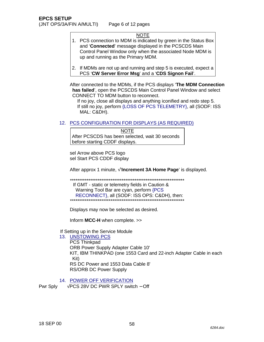#### **NOTE**

- 1. PCS connection to MDM is indicated by green in the Status Box and 'Connected' message displayed in the PCSCDS Main Control Panel Window only when the associated Node MDM is up and running as the Primary MDM.
- 2. If MDMs are not up and running and step 5 is executed, expect a PCS 'CW Server Error Msg' and a 'CDS Signon Fail'.

After connected to the MDMs, if the PCS displays 'The MDM Connection has failed', open the PCSCDS Main Control Panel Window and select CONNECT TO MDM button to reconnect.

If no joy, close all displays and anything iconified and redo step 5. If still no joy, perform {LOSS OF PCS TELEMETRY}, all (SODF: ISS MAL: C&DH).

#### 12. PCS CONFIGURATION FOR DISPLAYS (AS REQUIRED)

**NOTE** After PCSCDS has been selected, wait 30 seconds before starting CDDF displays.

sel Arrow above PCS logo sel Start PCS CDDF display

After approx 1 minute,  $\sqrt{2}$  **increment 3A Home Page** is displayed.

If GMT - static or telemetry fields in Caution & Warning Tool Bar are cyan, perform {PCS RECONNECT}, all (SODF: ISS OPS: C&DH), then: \*\*\*\*\*\*\*\*\*\*\*\*\*\*\*\*\*\*\*\*\*\*\*\*\*\*\*\*\*\*\*\*\*\*\*\*

Displays may now be selected as desired.

Inform MCC-H when complete. >>

#### If Setting up in the Service Module

13. UNSTOWING PCS

**PCS Thinkpad** ORB Power Supply Adapter Cable 10' KIT, IBM THINKPAD (one 1553 Card and 22-inch Adapter Cable in each  $Kit)$ RS DC Power and 1553 Data Cable 8' **RS/ORB DC Power Supply** 

14. POWER OFF VERIFICATION

 $\sqrt{PCS}$  28V DC PWR SPLY switch – Off Pwr Splv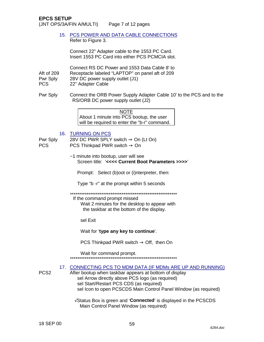15. PCS POWER AND DATA CABLE CONNECTIONS Refer to Figure 3.

Connect 22" Adapter cable to the 1553 PC Card. Insert 1553 PC Card into either PCS PCMCIA slot.

|            | Connect RS DC Power and 1553 Data Cable 8' to   |
|------------|-------------------------------------------------|
| Aft of 209 | Receptacle labeled "LAPTOP" on panel aft of 209 |
| Pwr Sply   | 28V DC power supply outlet (J1)                 |
| PCS.       | 22" Adapter Cable                               |
|            |                                                 |

Pwr Sply Connect the ORB Power Supply Adapter Cable 10' to the PCS and to the RS/ORB DC power supply outlet (J2)

| <b>NOTE</b>                                  |
|----------------------------------------------|
| About 1 minute into PCS bootup, the user     |
| will be required to enter the "b-r" command. |

#### 16. TURNING ON PCS

Pwr Sply **PCS** 

28V DC PWR SPLY switch  $\rightarrow$  On (Lt On) PCS Thinkpad PWR switch  $\rightarrow$  On

~1 minute into bootup, user will see Screen title: '<<<< Current Boot Parameters >>>>'

Prompt: Select (b) oot or (i) nterpreter, then:

Type "b -r" at the prompt within 5 seconds

If the command prompt missed

Wait 2 minutes for the desktop to appear with the taskbar at the bottom of the display.

sel Exit

Wait for 'type any key to continue'.

PCS Thinkpad PWR switch  $\rightarrow$  Off, then On

Wait for command prompt. **.....................** \*\*\*\*\*\*

- 
- 17. CONNECTING PCS TO MDM DATA (IF MDMs ARE UP AND RUNNING)

PCS<sub>2</sub>

- After bootup when taskbar appears at bottom of display sel Arrow directly above PCS logo (as required) sel Start/Restart PCS CDS (as required) sel Icon to open PCSCDS Main Control Panel Window (as required)
	- $\sqrt{3}$  Status Box is green and 'Connected' is displayed in the PCSCDS Main Control Panel Window (as required)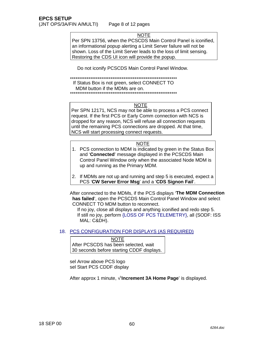**NOTE** 

Per SPN 13756, when the PCSCDS Main Control Panel is iconified. an informational popup alerting a Limit Server failure will not be shown. Loss of the Limit Server leads to the loss of limit sensing. Restoring the CDS UI icon will provide the popup.

Do not iconify PCSCDS Main Control Panel Window.

If Status Box is not green, select CONNECT TO MDM button if the MDMs are on.

#### **NOTE**

Per SPN 12171, NCS may not be able to process a PCS connect request. If the first PCS or Early Comm connection with NCS is dropped for any reason, NCS will refuse all connection requests until the remaining PCS connections are dropped. At that time, NCS will start processing connect requests.

#### **NOTE**

- 1. PCS connection to MDM is indicated by green in the Status Box and 'Connected' message displayed in the PCSCDS Main Control Panel Window only when the associated Node MDM is up and running as the Primary MDM.
- 2. If MDMs are not up and running and step 5 is executed, expect a PCS 'CW Server Error Msg' and a 'CDS Signon Fail'.

After connected to the MDMs, if the PCS displays 'The MDM Connection has failed', open the PCSCDS Main Control Panel Window and select CONNECT TO MDM button to reconnect.

If no joy, close all displays and anything iconified and redo step 5. If still no joy, perform {LOSS OF PCS TELEMETRY}, all (SODF: ISS MAL: C&DH).

# 18. PCS CONFIGURATION FOR DISPLAYS (AS REQUIRED)

**NOTE** After PCSCDS has been selected, wait 30 seconds before starting CDDF displays.

sel Arrow above PCS logo sel Start PCS CDDF display

After approx 1 minute,  $\sqrt{\ }$ **increment 3A Home Page**' is displayed.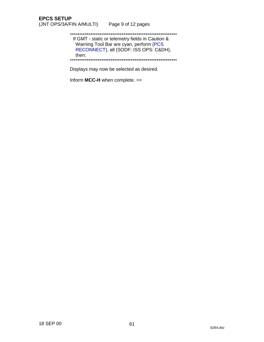If GMT - static or telemetry fields in Caution & Warning Tool Bar are cyan, perform {PCS RECONNECT}, all (SODF: ISS OPS: C&DH), then: 

Displays may now be selected as desired.

Inform MCC-H when complete. >>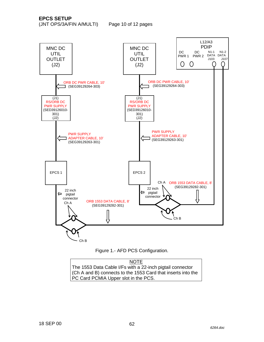**EPCS SETUP**

(JNT OPS/3A/FIN A/MULTI) Page 10 of 12 pages





| <b>NOTE</b>                                                  |
|--------------------------------------------------------------|
| The 1553 Data Cable I/Fs with a 22-inch pigtail connector    |
| (Ch A and B) connects to the 1553 Card that inserts into the |
| PC Card PCMIA Upper slot in the PCS.                         |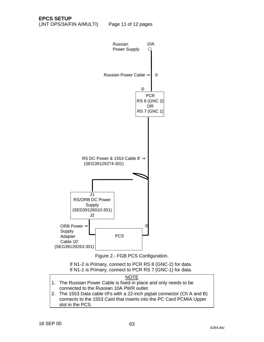

- 1. The Russian Power Cable is fixed in place and only needs to be connected to the Russian 10A PWR outlet.
- 2. The 1553 Data cable I/Fs with a 22-inch pigtail connector (Ch A and B) connects to the 1553 Card that inserts into the PC Card PCMIA Upper slot in the PCS.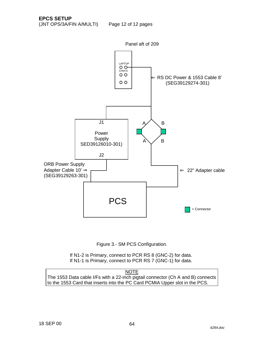



If N1-2 is Primary, connect to PCR RS 8 (GNC-2) for data. If N1-1 is Primary, connect to PCR RS 7 (GNC-1) for data.

**NOTE** The 1553 Data cable I/Fs with a 22-inch pigtail connector (Ch A and B) connects to the 1553 Card that inserts into the PC Card PCMIA Upper slot in the PCS.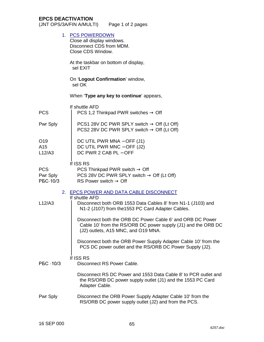# **EPCS DEACTIVATION** (JNT OPS/3A/FIN A/MULTI)

|                                    | 1. PCS POWERDOWN<br>Close all display windows.<br>Disconnect CDS from MDM.<br>Close CDS Window.                                                                                |
|------------------------------------|--------------------------------------------------------------------------------------------------------------------------------------------------------------------------------|
|                                    | At the taskbar on bottom of display,<br>sel EXIT                                                                                                                               |
|                                    | On 'Logout Confirmation' window,<br>sel OK                                                                                                                                     |
|                                    | When 'Type any key to continue' appears,                                                                                                                                       |
| <b>PCS</b>                         | If shuttle AFD<br>PCS 1,2 Thinkpad PWR switches $\rightarrow$ Off                                                                                                              |
| Pwr Sply                           | PCS1 28V DC PWR SPLY switch $\rightarrow$ Off (Lt Off)<br>PCS2 28V DC PWR SPLY switch $\rightarrow$ Off (Lt Off)                                                               |
| O <sub>19</sub><br>A15<br>L12/AA   | DC UTIL PWR MNA - OFF (J1)<br>DC UTIL PWR MNC - OFF (J2)<br>DC PWR 2 CAB PL - OFF                                                                                              |
| <b>PCS</b><br>Pwr Sply<br>PБC-10/3 | If ISS RS<br>PCS Thinkpad PWR switch $\rightarrow$ Off<br>PCS 28V DC PWR SPLY switch $\rightarrow$ Off (Lt Off)<br>RS Power switch $\rightarrow$ Off                           |
| L12/A3                             | 2. EPCS POWER AND DATA CABLE DISCONNECT<br>If shuttle AFD<br>Disconnect both ORB 1553 Data Cables 8' from N1-1 (J103) and<br>N1-2 (J107) from the 1553 PC Card Adapter Cables. |
|                                    | Disconnect both the ORB DC Power Cable 6' and ORB DC Power<br>Cable 10' from the RS/ORB DC power supply (J1) and the ORB DC<br>(J2) outlets, A15 MNC, and O19 MNA.             |
|                                    | Disconnect both the ORB Power Supply Adapter Cable 10' from the<br>PCS DC power outlet and the RS/ORB DC Power Supply (J2).                                                    |
| РБС -10/3                          | If ISS RS<br>Disconnect RS Power Cable.                                                                                                                                        |
|                                    | Disconnect RS DC Power and 1553 Data Cable 8' to PCR outlet and<br>the RS/ORB DC power supply outlet (J1) and the 1553 PC Card<br>Adapter Cable.                               |
| Pwr Sply                           | Disconnect the ORB Power Supply Adapter Cable 10' from the<br>RS/ORB DC power supply outlet (J2) and from the PCS.                                                             |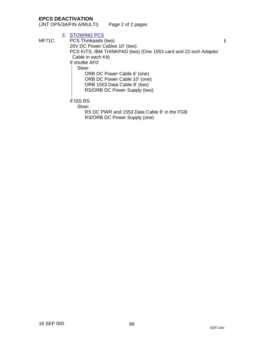# **EPCS DEACTIVATION**

(JNT OPS/3A/FIN A/MULTI) Page 2 of 2 pages

3. STOWING PCS MF71C PCS Thinkpads (two) 20V DC Power Cables 10' (two) PCS KITS, IBM THINKPAD (two) (One 1553 card and 22-inch Adapter Cable in each Kit) If shuttle AFD Stow: ORB DC Power Cable 6' (one) ORB DC Power Cable 10' (one) ORB 1553 Data Cable 8' (two) RS/ORB DC Power Supply (two) If ISS RS Stow:

RS DC PWR and 1553 Data Cable 8' in the FGB RS/ORB DC Power Supply (one)

 $\overline{1}$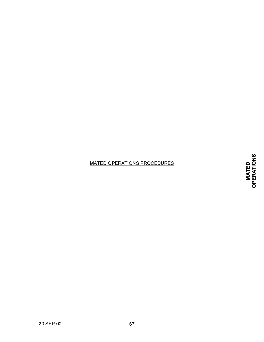# **MATED<br>OPERATIONS** OPERATIONS

# MATED OPERATIONS PROCEDURES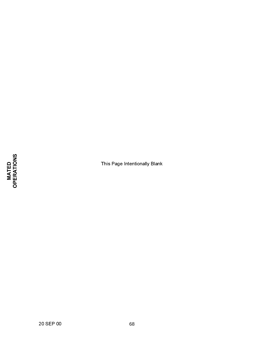# **MATED<br>OPERATIONS** OPERATIONS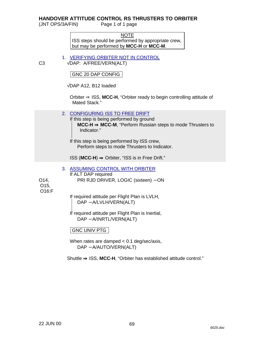# **HANDOVER ATTITUDE CONTROL RS THRUSTERS TO ORBITER**

(JNT OPS/3A/FIN) Page 1 of 1 page

**NOTE** ISS steps should be performed by appropriate crew, but may be performed by **MCC-H** or **MCC-M**.

# 1. VERIFYING ORBITER NOT IN CONTROL

C3 √DAP: A/FREE/VERN(ALT)

# GNC 20 DAP CONFIG

√DAP A12, B12 loaded

Orbiter ⇒ ISS, **MCC-H**, "Orbiter ready to begin controlling attitude of Mated Stack."

2. CONFIGURING ISS TO FREE DRIFT If this step is being performed by ground **MCC-H** ⇒ **MCC-M**, "Perform Russian steps to mode Thrusters to Indicator."

If this step is being performed by ISS crew, Perform steps to mode Thrusters to Indicator.

ISS (**MCC-H**) ⇒ Orbiter, "ISS is in Free Drift."

3. ASSUMING CONTROL WITH ORBITER If ALT DAP required O14, PRI RJD DRIVER, LOGIC (sixteen) − ON

 O15, O16:F

> If required attitude per Flight Plan is LVLH, DAP − A/LVLH/VERN(ALT)

If required attitude per Flight Plan is Inertial, DAP − A/INRTL/VERN(ALT)

GNC UNIV PTG

When rates are damped < 0.1 deg/sec/axis, DAP − A/AUTO/VERN(ALT)

Shuttle ⇒ ISS, **MCC-H**, "Orbiter has established attitude control."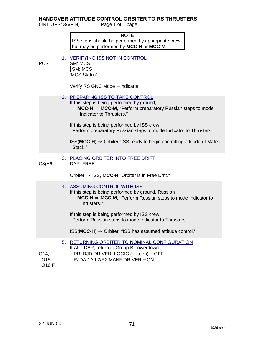# **HANDOVER ATTITUDE CONTROL ORBITER TO RS THRUSTERS**

(JNT OPS/ 3A/FIN) Page 1 of 1 page

NOTE ISS steps should be performed by appropriate crew, but may be performed by **MCC-H** or **MCC-M**.

1. VERIFYING ISS NOT IN CONTROL PCS SM: MCS SM: MCS

'MCS Status'

Verify RS GNC Mode − Indicator

# 2. PREPARING ISS TO TAKE CONTROL

If this step is being performed by ground,

**MCC-H** ⇒ **MCC-M**, "Perform preparatory Russian steps to mode Indicator to Thrusters."

If this step is being performed by ISS crew, Perform preparatory Russian steps to mode Indicator to Thrusters.

ISS(**MCC-H**) ⇒ Orbiter,"ISS ready to begin controlling attitude of Mated Stack."

3. PLACING ORBITER INTO FREE DRIFT C3(A6) DAP: FREE

Orbiter ⇒ ISS, **MCC-H**,"Orbiter is in Free Drift."

4. ASSUMING CONTROL WITH ISS If this step is being performed by ground, Russian **MCC-H** ⇒ **MCC-M**, "Perform Russian steps to mode Indicator to Thrusters."

If this step is being performed by ISS crew, Perform Russian steps to mode Indicator to Thrusters.

ISS(**MCC-H**) ⇒ Orbiter, "ISS has assumed attitude control."

# 5. RETURNING ORBITER TO NOMINAL CONFIGURATION If ALT DAP, return to Group B powerdown

- O14, PRI RJD DRIVER, LOGIC (sixteen) − OFF
- O15, RJDA-1A L2/R2 MANF DRIVER − ON

O16:F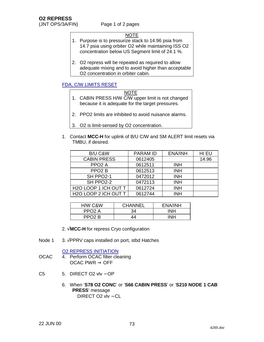# **NOTE**

- 1. Purpose is to pressurize stack to 14.96 psia from 14.7 psia using orbiter O2 while maintaining ISS O2 concentration below US Segment limit of 24.1 %.
- 2. O2 repress will be repeated as required to allow adequate mixing and to avoid higher than acceptable O2 concentration in orbiter cabin.

# FDA, C/W LIMITS RESET

- NOTE 1. CABIN PRESS H/W C/W upper limit is not changed because it is adequate for the target pressures.
- 2. PPO2 limits are inhibited to avoid nuisance alarms.
- 3. O2 is limit-sensed by O2 concentration.
- 1. Contact **MCC-H** for uplink of B/U C/W and SM ALERT limit resets via TMBU, if desired.

| <b>B/U C&amp;W</b>   | PARAM ID | <b>ENA/INH</b> | HI EU |
|----------------------|----------|----------------|-------|
| <b>CABIN PRESS</b>   | 0612405  |                | 14.96 |
| PPO <sub>2</sub> A   | 0612511  | <b>INH</b>     |       |
| PPO <sub>2</sub> B   | 0612513  | <b>INH</b>     |       |
| SH PPO2-1            | 0472012  | <b>INH</b>     |       |
| SH PPO2-2            | 0472113  | <b>INH</b>     |       |
| H2O LOOP 1 ICH OUT T | 0612724  | <b>INH</b>     |       |
| H2O LOOP 2 ICH OUT T | 0612744  | <b>INH</b>     |       |

| H/W C&W            | <b>CHANNEL</b> | <b>ENA/INH</b> |
|--------------------|----------------|----------------|
| PPO <sub>2</sub> A | 34             | INH            |
| PPO <sub>2</sub> B |                | INH            |

- 2. √**MCC-H** for repress Cryo configuration
- Node 1  $3. \sqrt{PPRV}$  caps installed on port, stbd Hatches

### O2 REPRESS INITIATION

- OCAC 4. Perform OCAC filter cleaning  $OCAC$  PWR  $\rightarrow$  OFF
- C5 5. DIRECT O2 vlv − OP
	- 6. When '**S78 O2 CONC**' or '**S66 CABIN PRESS**' or '**S210 NODE 1 CAB PRESS**' message DIRECT O2 vlv – CL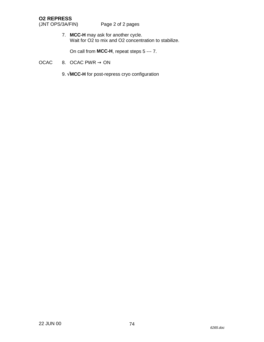(JNT OPS/3A/FIN) Page 2 of 2 pages

7. **MCC-H** may ask for another cycle. Wait for O2 to mix and O2 concentration to stabilize.

On call from **MCC-H**, repeat steps 5 --- 7.

- OCAC 8. OCAC PWR  $\rightarrow$  ON
	- 9. √MCC-H for post-repress cryo configuration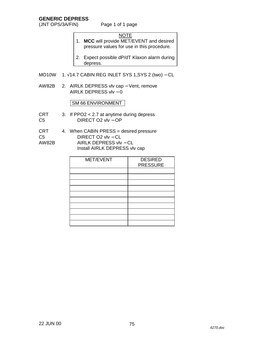**GENERIC DEPRESS**

(JNT OPS/3A/FIN) Page 1 of 1 page

- NOTE
- 1. **MCC** will provide MET/EVENT and desired pressure values for use in this procedure.
- 2. Expect possible dP/dT Klaxon alarm during depress.
- MO10W 1. √14.7 CABIN REG INLET SYS 1,SYS 2 (two) − CL
- AW82B 2. AIRLK DEPRESS vlv cap − Vent, remove AIRLK DEPRESS vlv − 0

# SM 66 ENVIRONMENT

- CRT 3. If PPO2 < 2.7 at anytime during depress C5 DIRECT O2 vlv − OP
- CRT 4. When CABIN PRESS = desired pressure C5 DIRECT O2 vlv − CL AW82B AIRLK DEPRESS vlv − CL

Install AIRLK DEPRESS vlv cap

| MET/EVENT | <b>DESIRED</b>  |
|-----------|-----------------|
|           | <b>PRESSURE</b> |
|           |                 |
|           |                 |
|           |                 |
|           |                 |
|           |                 |
|           |                 |
|           |                 |
|           |                 |
|           |                 |
|           |                 |
|           |                 |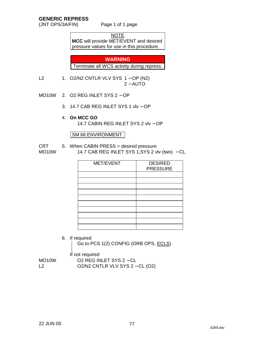(JNT OPS/3A/FIN) Page 1 of 1 page

**NOTE** 

**MCC** will provide MET/EVENT and desired pressure values for use in this procedure.

**WARNING** Terminate all WCS activity during repress.

- L2 1. O2/N2 CNTLR VLV SYS 1 − OP (N2) 2 − AUTO
- MO10W 2. O2 REG INLET SYS 2 − OP
	- 3. 14.7 CAB REG INLET SYS 1 vlv − OP

4. **On MCC GO** 14.7 CABIN REG INLET SYS 2 vlv – OP

SM 66 ENVIRONMENT

CRT 5. When CABIN PRESS = desired pressure

MO10W 14.7 CAB REG INLET SYS 1, SYS 2 vlv (two) – CL

| MET/EVENT | <b>DESIRED</b><br><b>PRESSURE</b> |
|-----------|-----------------------------------|
|           |                                   |
|           |                                   |
|           |                                   |
|           |                                   |
|           |                                   |
|           |                                   |
|           |                                   |
|           |                                   |
|           |                                   |
|           |                                   |

# 6. If required

Go to PCS 1(2) CONFIG (ORB OPS, ECLS).

If not required

MO10W O2 REG INLET SYS 2 − CL L2 O2/N2 CNTLR VLV SYS 2 − CL (O2)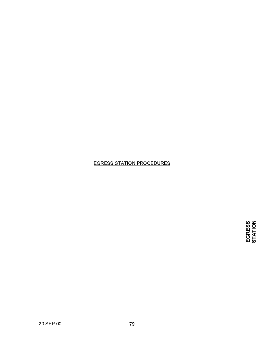# EGRESS STATION PROCEDURES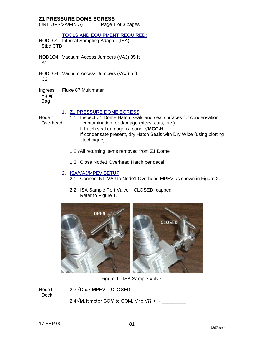# **Z1 PRESSURE DOME EGRESS**

(JNT OPS/3A/FIN A) Page 1 of 3 pages

TOOLS AND EQUIPMENT REQUIRED:

- NOD1O1 Internal Sampling Adapter (ISA) Stbd CTB
- NOD1O4 Vacuum Access Jumpers (VAJ) 35 ft A1
- NOD1O4 Vacuum Access Jumpers (VAJ) 5 ft  $C<sub>2</sub>$

Ingress Fluke 87 Multimeter Equip

Bag

# 1. Z1 PRESSURE DOME EGRESS

- Node 1 1.1 Inspect Z1 Dome Hatch Seals and seal surfaces for condensation, Overhead contamination, or damage (nicks, cuts, etc.). If hatch seal damage is found, √**MCC-H**. If condensate present, dry Hatch Seals with Dry Wipe (using blotting technique).
	- 1.2 √All returning items removed from Z1 Dome
	- 1.3 Close Node1 Overhead Hatch per decal.

# 2. ISA/VAJ/MPEV SETUP

- 2.1 Connect 5 ft VAJ to Node1 Overhead MPEV as shown in Figure 2.
- 2.2 ISA Sample Port Valve CLOSED, capped Refer to Figure 1.



Figure 1.- ISA Sample Valve.

Node1 Deck

eck MPEV – CLOSED

2.4 √Multimeter COM to COM, V to VΩ→  $\mid$  - \_\_\_\_\_\_\_\_\_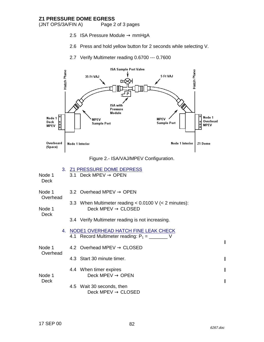# **Z1 PRESSURE DOME EGRESS**

(JNT OPS/3A/FIN A) Page 2 of 3 pages

- 2.5 ISA Pressure Module  $\rightarrow$  mmHgA
- 2.6 Press and hold yellow button for 2 seconds while selecting V.
- 2.7 Verify Multimeter reading 0.6700 --- 0.7600

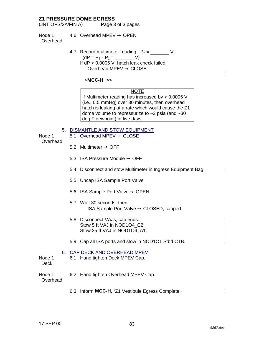# **Z1 PRESSURE DOME EGRESS**

(JNT OPS/3A/FIN A) Page 3 of 3 pages

Node 1 4.6 Overhead MPEV  $\rightarrow$  OPEN **Overhead** 

> 4.7 Record multimeter reading: P2 = \_\_\_\_\_\_\_ V  $(dP = P_2 - P_1 = V)$ If dP > 0.0005 V, hatch leak check failed Overhead MPEV  $\rightarrow$  CLOSE

> > √**MCC-H** >>

#### **NOTE**

If Multimeter reading has increased by > 0.0005 V (i.e., 0.5 mmHg) over 30 minutes, then overhead hatch is leaking at a rate which would cause the Z1 dome volume to repressurize to ~3 psia (and ~30 deg F dewpoint) in five days.

### 5. DISMANTLE AND STOW EQUIPMENT

- 
- Node 1  $5.1$  Overhead MPEV  $\rightarrow$  CLOSE
- **Overhead**
- 5.2 Multimeter  $\rightarrow$  OFF
- 5.3 ISA Pressure Module  $\rightarrow$  OFF
- 5.4 Disconnect and stow Multimeter in Ingress Equipment Bag.
- 5.5 Uncap ISA Sample Port Valve
- 5.6 ISA Sample Port Valve  $\rightarrow$  OPEN
- 5.7 Wait 30 seconds, then ISA Sample Port Valve → CLOSED, capped
- 5.8 Disconnect VAJs, cap ends. Stow 5 ft VAJ in NOD1O4\_C2. Stow 35 ft VAJ in NOD1O4\_A1.
- 5.9 Cap all ISA ports and stow in NOD1O1 Stbd CTB.

### 6. CAP DECK AND OVERHEAD MPEV

Node 1 6.1 Hand tighten Deck MPEV Cap.

Deck

- Node 1 6.2 Hand tighten Overhead MPEV Cap.
- **Overhead**
- 6.3 Inform **MCC-H**, "Z1 Vestibule Egress Complete."

 $\mathbf{I}$ 

 $\overline{\phantom{a}}$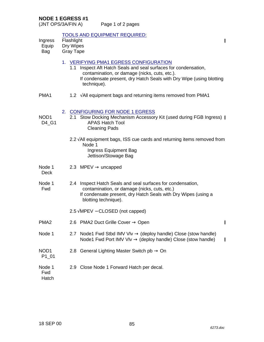**NODE 1 EGRESS #1**

(JNT OPS/3A/FIN A) Page 1 of 2 pages

| Ingress<br>Equip<br>Bag     | <b>TOOLS AND EQUIPMENT REQUIRED:</b><br>Flashlight<br>Dry Wipes<br><b>Gray Tape</b>                                                                                                                                                               |  |
|-----------------------------|---------------------------------------------------------------------------------------------------------------------------------------------------------------------------------------------------------------------------------------------------|--|
|                             | 1. VERIFYING PMA1 EGRESS CONFIGURATION<br>1.1 Inspect Aft Hatch Seals and seal surfaces for condensation,<br>contamination, or damage (nicks, cuts, etc.).<br>If condensate present, dry Hatch Seals with Dry Wipe (using blotting<br>technique). |  |
| PMA <sub>1</sub>            | 1.2 VAII equipment bags and returning items removed from PMA1                                                                                                                                                                                     |  |
| NOD <sub>1</sub><br>D4 G1   | 2. CONFIGURING FOR NODE 1 EGRESS<br>2.1 Stow Docking Mechanism Accessory Kit (used during FGB Ingress)<br><b>APAS Hatch Tool</b><br><b>Cleaning Pads</b>                                                                                          |  |
|                             | $2.2 \sqrt{All}$ equipment bags, ISS cue cards and returning items removed from<br>Node 1<br>Ingress Equipment Bag<br>Jettison/Stowage Bag                                                                                                        |  |
| Node 1<br><b>Deck</b>       | 2.3 MPEV $\rightarrow$ uncapped                                                                                                                                                                                                                   |  |
| Node 1<br>Fwd               | 2.4 Inspect Hatch Seals and seal surfaces for condensation,<br>contamination, or damage (nicks, cuts, etc.)<br>If condensate present, dry Hatch Seals with Dry Wipes (using a<br>blotting technique).                                             |  |
|                             | $2.5 \sqrt{MPEV}$ – CLOSED (not capped)                                                                                                                                                                                                           |  |
| PMA <sub>2</sub>            | 2.6 PMA2 Duct Grille Cover $\rightarrow$ Open                                                                                                                                                                                                     |  |
| Node 1                      | Node1 Fwd Stbd IMV VIv $\rightarrow$ (deploy handle) Close (stow handle)<br>2.7<br>Node1 Fwd Port IMV VIv $\rightarrow$ (deploy handle) Close (stow handle)                                                                                       |  |
| NOD <sub>1</sub><br>$P1_01$ | General Lighting Master Switch $pb \rightarrow On$<br>2.8 <sup>°</sup>                                                                                                                                                                            |  |
| Node 1<br>Fwd               | Close Node 1 Forward Hatch per decal.<br>2.9                                                                                                                                                                                                      |  |

Hatch

 $\mathbf{I}$ 

 $\mathbf I$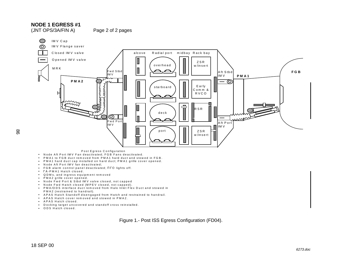# **NODE 1 EGRESS #1**

 $\bigcirc$ 

IM V C ap

(JNT OPS/3A/FIN A) Page 2 of 2 pages



P ost E gress C onfiguration

- N ode A ft P ort IM V F an deactivated; F G B F ans deactivated.
- P M A 1 to F G B duct rem oved from P M A 1 hard duct and stow ed in FG B .
- P M A 1 hard duct cap installed on hard duct; P M A 1 grille cover opened.
- N ode A ft P ort IM V fan deactivated;
- $\bullet$  FGB alarm control panel deactivated;  $\Pi$ ГO lights off.
- ГА-РМА1 Hatch closed.
- Q D M s, and ingress equipm ent rem oved
- P M A 2 grille cover opened.
- N ode F <sup>w</sup> d P ort & S tbd IM V valve closed, not capped
- N ode F <sup>w</sup> d H atch closed (M P E V closed, not c apped).
- P M A /O D S interface duct rem oved from H alo Inlet F lex D uct and stow ed in PMA2 (restrained to handrail).
- A P A S H atch S tandoff disengaged from H atch and restrained to handrail.
- A P A S H atch cover rem oved and stow ed in P M A 2.
- A P A S Hatch closed.
- D ocking target uncovered and standoff cross reinstalled.
- ODS Hatch closed.

Figure 1.- Post ISS Egress Configuration (FD04).

86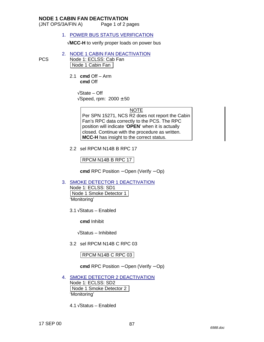# **NODE 1 CABIN FAN DEACTIVATION**

(JNT OPS/3A/FIN A) Page 1 of 2 pages

1. POWER BUS STATUS VERIFICATION

√**MCC-H** to verify proper loads on power bus

2. NODE 1 CABIN FAN DEACTIVATION

- PCS Node 1: ECLSS: Cab Fan Node 1 Cabin Fan
	- 2.1 **cmd** Off Arm **cmd** Off

√State – Off  $\sqrt{\text{Speed}}$ , rpm: 2000  $\pm$  50

### **NOTE**

Per SPN 15271, NCS R2 does not report the Cabin Fan's RPC data correctly to the PCS. The RPC position will indicate '**OPEN**' when it is actually closed. Continue with the procedure as written. **MCC-H** has insight to the correct status.

2.2 sel RPCM N14B B RPC 17

RPCM N14B B RPC 17

**cmd** RPC Position − Open (Verify − Op)

3. SMOKE DETECTOR 1 DEACTIVATION

Node 1: ECLSS: SD1 Node 1 Smoke Detector 1 'Monitoring'

3.1 √Status – Enabled

**cmd** Inhibit

√Status – Inhibited

3.2 sel RPCM N14B C RPC 03

RPCM N14B C RPC 03

**cmd** RPC Position − Open (Verify − Op)

4. SMOKE DETECTOR 2 DEACTIVATION Node 1: ECLSS: SD2 Node 1 Smoke Detector 2

'Monitoring'

4.1 √Status – Enabled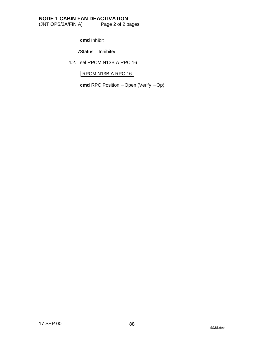# **NODE 1 CABIN FAN DEACTIVATION**

(JNT OPS/3A/FIN A) Page 2 of 2 pages

**cmd** Inhibit

√Status – Inhibited

4.2. sel RPCM N13B A RPC 16

RPCM N13B A RPC 16

**cmd** RPC Position − Open (Verify − Op)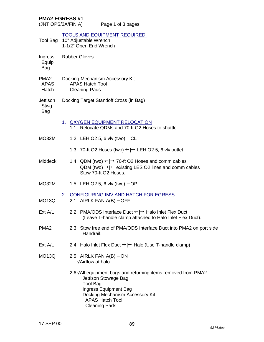**PMA2 EGRESS #1**

| (JNT OPS/3A/FIN A) | Page 1 of 3 pages |
|--------------------|-------------------|
|                    |                   |

| Tool Bag                     | <u>TOOLS AND EQUIPMENT REQUIRED:</u><br>10" Adjustable Wrench<br>1-1/2" Open End Wrench                                                                                                                                |  |  |
|------------------------------|------------------------------------------------------------------------------------------------------------------------------------------------------------------------------------------------------------------------|--|--|
| Ingress<br>Equip<br>Bag      | <b>Rubber Gloves</b>                                                                                                                                                                                                   |  |  |
| PMA2<br><b>APAS</b><br>Hatch | Docking Mechanism Accessory Kit<br><b>APAS Hatch Tool</b><br><b>Cleaning Pads</b>                                                                                                                                      |  |  |
| Jettison<br>Stwg<br>Bag      | Docking Target Standoff Cross (in Bag)                                                                                                                                                                                 |  |  |
|                              | 1. OXYGEN EQUIPMENT RELOCATION<br>1.1 Relocate QDMs and 70-ft O2 Hoses to shuttle.                                                                                                                                     |  |  |
| MO32M                        | 1.2 LEH O2 5, 6 vlv $(two) - CL$                                                                                                                                                                                       |  |  |
|                              | 1.3 70-ft O2 Hoses (two) $\leftarrow \rightarrow$ LEH O2 5, 6 viv outlet                                                                                                                                               |  |  |
| <b>Middeck</b>               | 1.4 QDM (two) $\leftarrow \rightarrow$ 70-ft O2 Hoses and comm cables<br>QDM (two) $\rightarrow$ $\leftarrow$ existing LES O2 lines and comm cables<br>Stow 70-ft O2 Hoses.                                            |  |  |
| MO32M                        | 1.5 LEH O2 5, 6 vlv (two) - OP                                                                                                                                                                                         |  |  |
| <b>MO13Q</b>                 | 2. CONFIGURING IMV AND HATCH FOR EGRESS<br>2.1 AIRLK FAN A(B) - OFF                                                                                                                                                    |  |  |
| Ext A/L                      | 2.2 PMA/ODS Interface Duct $\leftarrow$ $\rightarrow$ Halo Inlet Flex Duct<br>(Leave T-handle clamp attached to Halo Inlet Flex Duct).                                                                                 |  |  |
| PMA <sub>2</sub>             | 2.3 Stow free end of PMA/ODS Interface Duct into PMA2 on port side<br>Handrail.                                                                                                                                        |  |  |
| Ext A/L                      | 2.4 Halo Inlet Flex Duct $\rightarrow$ $\leftarrow$ Halo (Use T-handle clamp)                                                                                                                                          |  |  |
| MO13Q                        | 2.5 AIRLK FAN A(B) - ON<br>$\sqrt{\mathsf{A}}$ ifflow at halo                                                                                                                                                          |  |  |
|                              | 2.6 √All equipment bags and returning items removed from PMA2<br>Jettison Stowage Bag<br><b>Tool Bag</b><br>Ingress Equipment Bag<br>Docking Mechanism Accessory Kit<br><b>APAS Hatch Tool</b><br><b>Cleaning Pads</b> |  |  |

 $\mathbf{I}$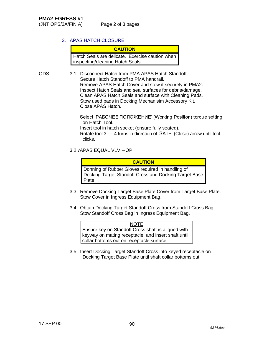# 3. APAS HATCH CLOSURE

### **CAUTION**

Hatch Seals are delicate. Exercise caution when inspecting/cleaning Hatch Seals.

ODS 3.1 Disconnect Hatch from PMA APAS Hatch Standoff. Secure Hatch Standoff to PMA handrail. Remove APAS Hatch Cover and stow it securely in PMA2. Inspect Hatch Seals and seal surfaces for debris/damage. Clean APAS Hatch Seals and surface with Cleaning Pads. Stow used pads in Docking Mechanisim Accessory Kit. Close APAS Hatch.

> Select 'РАБОЧЕЕ ПОЛОЖЕНИЕ' (Working Position) torque setting on Hatch Tool.

Insert tool in hatch socket (ensure fully seated).

Rotate tool 3 --- 4 turns in direction of '3ATP' (Close) arrow until tool clicks.

3.2 √APAS EQUAL VLV − OP

# **CAUTION**

Donning of Rubber Gloves required in handling of Docking Target Standoff Cross and Docking Target Base Plate.

- 3.3 Remove Docking Target Base Plate Cover from Target Base Plate. Stow Cover in Ingress Equipment Bag.
- 3.4 Obtain Docking Target Standoff Cross from Standoff Cross Bag. Stow Standoff Cross Bag in Ingress Equipment Bag.

**NOTE** Ensure key on Standoff Cross shaft is aligned with keyway on mating receptacle, and insert shaft until collar bottoms out on receptacle surface.

3.5 Insert Docking Target Standoff Cross into keyed receptacle on Docking Target Base Plate until shaft collar bottoms out.

 $\mathbf{I}$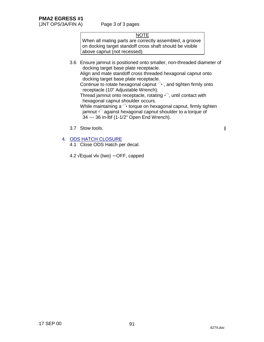NOTE

When all mating parts are correctly assembled, a groove on docking target standoff cross shaft should be visible above capnut (not recessed).

3.6 Ensure jamnut is positioned onto smaller, non-threaded diameter of docking target base plate receptacle.

Align and mate standoff cross threaded hexagonal capnut onto docking target base plate receptacle.

Continue to rotate hexagonal capnut  $\cap$ , and tighten firmly onto receptacle (10" Adjustable Wrench).

Thread jamnut onto receptacle, rotating  $\bigcap$ , until contact with hexagonal capnut shoulder occurs.

While maintaining a  $\Omega$  torque on hexagonal capnut, firmly tighten jamnut  $\cap$  against hexagonal capnut shoulder to a torque of 34 --- 36 in-lbf (1-1/2" Open End Wrench).

3.7 Stow tools.

 $\overline{1}$ 

- 4. ODS HATCH CLOSURE
	- 4.1 Close ODS Hatch per decal.

4.2 √Equal vlv (two) − OFF, capped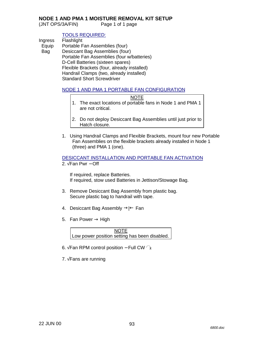# **NODE 1 AND PMA 1 MOISTURE REMOVAL KIT SETUP**

(JNT OPS/3A/FIN) Page 1 of 1 page

# TOOLS REQUIRED:

Ingress Flashlight

 Equip Portable Fan Assemblies (four) Bag Desiccant Bag Assemblies (four) Portable Fan Assemblies (four w/batteries) D-Cell Batteries (sixteen spares) Flexible Brackets (four, already installed) Handrail Clamps (two, already installed) Standard Short Screwdriver

# NODE 1 AND PMA 1 PORTABLE FAN CONFIGURATION

**NOTE** 

- 1. The exact locations of portable fans in Node 1 and PMA 1 are not critical.
- 2. Do not deploy Desiccant Bag Assemblies until just prior to Hatch closure.
- 1. Using Handrail Clamps and Flexible Brackets, mount four new Portable Fan Assemblies on the flexible brackets already installed in Node 1 (three) and PMA 1 (one).

# DESICCANT INSTALLATION AND PORTABLE FAN ACTIVATION

2. √Fan Pwr – Off

If required, replace Batteries. If required, stow used Batteries in Jettison/Stowage Bag.

- 3. Remove Desiccant Bag Assembly from plastic bag. Secure plastic bag to handrail with tape.
- 4. Desiccant Bag Assembly →|← Fan
- 5. Fan Power  $\rightarrow$  High

NOTE Low power position setting has been disabled.

- 6. √Fan RPM control position − Full CW
- 7. √Fans are running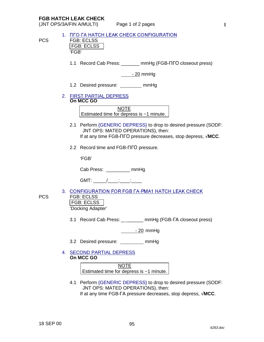# **FGB HATCH LEAK CHECK**

(JNT OPS/3A/FIN A/MULTI) Page 1 of 2 pages

| 1. REPORTA HATCH LEAK CHECK CONFIGURATION |
|-------------------------------------------|
|-------------------------------------------|

PCS

| .                 |  |
|-------------------|--|
| <b>FGB: ECLSS</b> |  |
| <b>FGB: ECLSS</b> |  |
| 'FGB'             |  |

1.1 Record Cab Press: \_\_\_\_\_\_ mmHg (FGB-NTO closeout press)

 $- 20$  mmHg

1.2 Desired pressure: \_\_\_\_\_\_\_\_ mmHg

### 2. FIRST PARTIAL DEPRESS **On MCC GO**



- 2.1 Perform {GENERIC DEPRESS} to drop to desired pressure (SODF: JNT OPS: MATED OPERATIONS), then: If at any time FGB-ΠΓO pressure decreases, stop depress, √MCC.
- 2.2 Record time and FGB-NFO pressure.

'FGB'

Cab Press: \_\_\_\_\_\_\_\_\_ mmHg

| GMT: |  |  |
|------|--|--|
|      |  |  |
|      |  |  |

# <u> 3. CONFIGURATION FOR FGB FA-PMA1 HATCH LEAK CHECK</u>

PCS FGB: ECLSS FGB: ECLSS 'Docking Adapter'

3.1 Record Cab Press: \_\_\_\_\_\_\_\_ mmHg (FGB-TA closeout press)

- 20 mmHg

3.2 Desired pressure: mmHg

# 4. SECOND PARTIAL DEPRESS **On MCC GO**

NOTE Estimated time for depress is ~1 minute.

4.1 Perform {GENERIC DEPRESS} to drop to desired pressure (SODF: JNT OPS: MATED OPERATIONS), then: If at any time FGB-FA pressure decreases, stop depress, √MCC.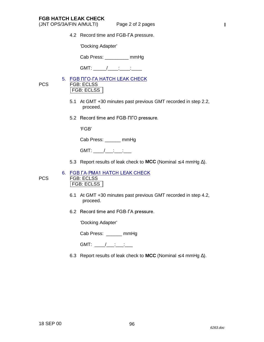# **FGB HATCH LEAK CHECK**

(JNT OPS/3A/FIN A/MULTI) Page 2 of 2 pages

4.2 Record time and FGB-FA pressure.

'Docking Adapter'

Cab Press: \_\_\_\_\_\_\_\_\_ mmHg

GMT: \_\_\_\_\_/\_\_\_\_:\_\_\_\_:\_\_\_\_

- <u>5. FGB ПГО-ГА НАТСН LEAK CHECK</u> PCS FGB: ECLSS FGB: ECLSS
	- 5.1 At GMT +30 minutes past previous GMT recorded in step 2.2, proceed.
	- 5.2 Record time and FGB-NFO pressure.

'FGB'

Cab Press: \_\_\_\_\_\_ mmHg

 $GMT:$  \_\_\_\_/\_\_\_\_:\_\_\_\_:\_\_\_\_\_

5.3 Report results of leak check to **MCC** (Nominal  $\leq$  4 mmHg  $\Delta$ ).

# <u>6. FGB ГА-РМА1 НАТСН LEAK CHECK</u> PCS FGB: ECLSS

# **FGB: ECLSS**

- 6.1 At GMT +30 minutes past previous GMT recorded in step 4.2, proceed.
- 6.2 Record time and FGB-FA pressure.

'Docking Adapter'

| Cab Press: | mmHg |
|------------|------|
|------------|------|

| GMT: |  |  |
|------|--|--|
|      |  |  |

6.3 Report results of leak check to **MCC** (Nominal  $\leq$  4 mmHg  $\Delta$ ).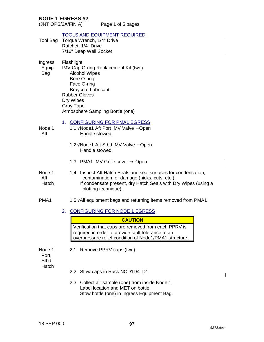**NODE 1 EGRESS #2**

Page 1 of 5 pages

| Tool Bag                         | <u>TOOLS AND EQUIPMENT REQUIRED:</u><br>Torque Wrench, 1/4" Drive<br>Ratchet, 1/4" Drive<br>7/16" Deep Well Socket                                                                                                                 |
|----------------------------------|------------------------------------------------------------------------------------------------------------------------------------------------------------------------------------------------------------------------------------|
| Ingress<br>Equip<br>Bag          | Flashlight<br>IMV Cap O-ring Replacement Kit (two)<br><b>Alcohol Wipes</b><br>Bore O-ring<br>Face O-ring<br><b>Braycote Lubricant</b><br><b>Rubber Gloves</b><br>Dry Wipes<br><b>Gray Tape</b><br>Atmosphere Sampling Bottle (one) |
| Node 1<br>Aft                    | 1. CONFIGURING FOR PMA1 EGRESS<br>1.1 √Node1 Aft Port IMV Valve – Open<br>Handle stowed.                                                                                                                                           |
|                                  | 1.2 √Node1 Aft Stbd IMV Valve - Open<br>Handle stowed.<br>1.3 PMA1 IMV Grille cover $\rightarrow$ Open                                                                                                                             |
| Node 1<br>Aft<br>Hatch           | 1.4 Inspect Aft Hatch Seals and seal surfaces for condensation,<br>contamination, or damage (nicks, cuts, etc.).<br>If condensate present, dry Hatch Seals with Dry Wipes (using a<br>blotting technique).                         |
| PMA <sub>1</sub>                 | 1.5 $\sqrt{All}$ equipment bags and returning items removed from PMA1                                                                                                                                                              |
|                                  | 2.<br><b>CONFIGURING FOR NODE 1 EGRESS</b>                                                                                                                                                                                         |
|                                  | <b>CAUTION</b><br>Verification that caps are removed from each PPRV is<br>required in order to provide fault tolerance to an<br>overpressure relief condition of Node1/PMA1 structure.                                             |
| Node 1<br>Port,<br>Stbd<br>Hatch | 2.1 Remove PPRV caps (two).                                                                                                                                                                                                        |
|                                  | 2.2 Stow caps in Rack NOD1D4_D1.                                                                                                                                                                                                   |
|                                  | Collect air sample (one) from inside Node 1.<br>2.3<br>Label location and MET on bottle.<br>Stow bottle (one) in Ingress Equipment Bag.                                                                                            |

 $\mathbf{I}$ 

I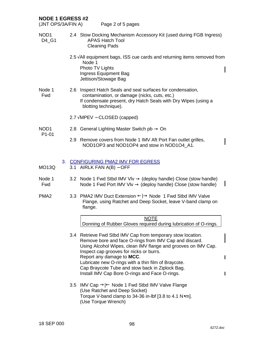# **NODE 1 EGRESS #2** (JNT OPS/3A/FIN A) Page 2 of 5 pages NOD1 2.4 Stow Docking Mechanism Accessory Kit (used during FGB Ingress) D4 G1 APAS Hatch Tool Cleaning Pads 2.5 √All equipment bags, ISS cue cards and returning items removed from Node 1 Photo TV Lights Ingress Equipment Bag Jettison/Stowage Bag

Node 1 2.6 Inspect Hatch Seals and seal surfaces for condensation, Fwd contamination, or damage (nicks, cuts, etc.) If condensate present, dry Hatch Seals with Dry Wipes (using a blotting technique).

- 2.7 √MPEV − CLOSED (capped)
- NOD1 2.8 General Lighting Master Switch  $pb \rightarrow On$  P1-01
	- 2.9 Remove covers from Node 1 IMV Aft Port Fan outlet grilles, NOD1OP3 and NOD1OP4 and stow in NOD1O4\_A1.
	- 3. CONFIGURING PMA2 IMV FOR EGRESS
- MO13Q 3.1 AIRLK FAN A(B) − OFF

Node 1 3.2 Node 1 Fwd Stbd IMV Vlv  $\rightarrow$  (deploy handle) Close (stow handle) Fwd Node 1 Fwd Port IMV Vlv  $\rightarrow$  (deploy handle) Close (stow handle)

PMA2 3.3 PMA2 IMV Duct Extension ← Node 1 Fwd Stbd IMV Valve Flange, using Ratchet and Deep Socket, leave V-band clamp on flange.

| <b>NOTE</b>                                                      |
|------------------------------------------------------------------|
| Donning of Rubber Gloves required during lubrication of O-rings. |

- 3.4 Retrieve Fwd Stbd IMV Cap from temporary stow location. Remove bore and face O-rings from IMV Cap and discard. Using Alcohol Wipes, clean IMV flange and grooves on IMV Cap. Inspect cap grooves for nicks or burrs. Report any damage to **MCC**. Lubricate new O-rings with a thin film of Braycote. Cap Braycote Tube and stow back in Ziplock Bag. Install IMV Cap Bore O-rings and Face O-rings.
- 3.5 IMV Cap →|← Node 1 Fwd Stbd IMV Valve Flange (Use Ratchet and Deep Socket) Torque V-band clamp to 34-36 in-lbf [3.8 to 4.1 N•m]. (Use Torque Wrench)

 $\mathbf{I}$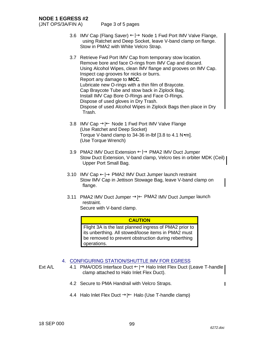(JNT OPS/3A/FIN A) Page 3 of 5 pages

- 3.6 IMV Cap (Flang Saver) ←|→ Node 1 Fwd Port IMV Valve Flange, using Ratchet and Deep Socket, leave V-band clamp on flange. Stow in PMA2 with White Velcro Strap.
- 3.7 Retrieve Fwd Port IMV Cap from temporary stow location. Remove bore and face O-rings from IMV Cap and discard. Using Alcohol Wipes, clean IMV flange and grooves on IMV Cap. Inspect cap grooves for nicks or burrs. Report any damage to **MCC**. Lubricate new O-rings with a thin film of Braycote. Cap Braycote Tube and stow back in Ziplock Bag. Install IMV Cap Bore O-Rings and Face O-Rings. Dispose of used gloves in Dry Trash. Dispose of used Alcohol Wipes in Ziplock Bags then place in Dry Trash.
- 3.8 IMV Cap →|← Node 1 Fwd Port IMV Valve Flange (Use Ratchet and Deep Socket) Torque V-band clamp to 34-36 in-lbf [3.8 to 4.1 N•m]. (Use Torque Wrench)
- 3.9 PMA2 IMV Duct Extension ←|→ PMA2 IMV Duct Jumper Stow Duct Extension, V-band clamp, Velcro ties in orbiter MDK (Ceil) Upper Port Small Bag.
- 3.10 IMV Cap ←|→ PMA2 IMV Duct Jumper launch restraint Stow IMV Cap in Jettison Stowage Bag, leave V-band clamp on flange.
- 3.11 PMA2 IMV Duct Jumper →|← PMA2 IMV Duct Jumper launch restraint. Secure with V-band clamp.

### **CAUTION**

Flight 3A is the last planned ingress of PMA2 prior to its unberthing. All stowed/loose items in PMA2 must be removed to prevent obstruction during reberthing operations.

# 4. CONFIGURING STATION/SHUTTLE IMV FOR EGRESS

- Ext A/L 4.1 PMA/ODS Interface Duct  $\leftarrow$   $\rightarrow$  Halo Inlet Flex Duct (Leave T-handle clamp attached to Halo Inlet Flex Duct).
	- 4.2 Secure to PMA Handrail with Velcro Straps.
	- 4.4 Halo Inlet Flex Duct →|← Halo (Use T-handle clamp)

I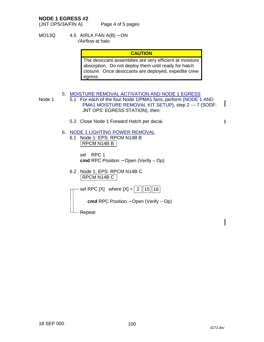# **NODE 1 EGRESS #2**

Page 4 of 5 pages

MO13Q 4.5 AIRLK FAN A(B) − ON √Airflow at halo

# **CAUTION**

The desiccant assemblies are very efficient at moisture absorption. Do not deploy them until ready for hatch closure. Once desiccants are deployed, expedite crew egress.

# 5. MOISTURE REMOVAL ACTIVATION AND NODE 1 EGRESS

- Node 1 5.1 For each of the four Node 1/PMA1 fans, perform {NODE 1 AND PMA1 MOISTURE REMOVAL KIT SETUP}, step 2 --- 7 (SODF: JNT OPS: EGRESS STATION), then:
	- 5.2 Close Node 1 Forward Hatch per decal.
	- 6. NODE 1 LIGHTING POWER REMOVAL
		- 6.1 Node 1: EPS: RPCM N14B B RPCM N14B B

sel RPC 1 **cmd** RPC Position − Open (Verify – Op)

6.2 Node 1: EPS: RPCM N14B C RPCM N14B C

- sel RPC [X]  $\,$  where [X] =  $\,$  2  $\,$   $\,$   $\,$  15  $\,$  16  $\,$ 

**cmd** RPC Position − Open (Verify – Op)

Repeat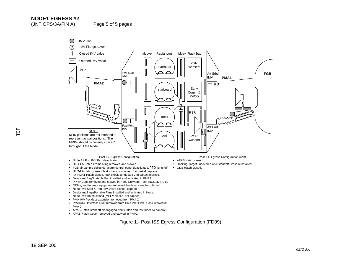# **NODE1 EGRESS #2**

(JNT OPS/3A/FIN A) Page 5 of 5 pages



- APAS Hatch Standoff disengaged from Hatch and restrained to handrail.
- APAS Hatch Cover removed and stowed in PMA2.

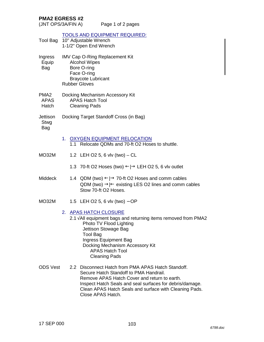**PMA2 EGRESS #2**

|                              | <b>TOOLS AND EQUIPMENT REQUIRED:</b><br>Tool Bag 10" Adjustable Wrench<br>1-1/2" Open End Wrench                                                                                                                                                                                  |  |  |  |  |
|------------------------------|-----------------------------------------------------------------------------------------------------------------------------------------------------------------------------------------------------------------------------------------------------------------------------------|--|--|--|--|
| Ingress<br>Equip<br>Bag      | <b>IMV Cap O-Ring Replacement Kit</b><br><b>Alcohol Wipes</b><br>Bore O-ring<br>Face O-ring<br><b>Braycote Lubricant</b><br><b>Rubber Gloves</b>                                                                                                                                  |  |  |  |  |
| PMA2<br><b>APAS</b><br>Hatch | Docking Mechanism Accessory Kit<br><b>APAS Hatch Tool</b><br><b>Cleaning Pads</b>                                                                                                                                                                                                 |  |  |  |  |
| Jettison<br>Stwg<br>Bag      | Docking Target Standoff Cross (in Bag)                                                                                                                                                                                                                                            |  |  |  |  |
|                              | 1. OXYGEN EQUIPMENT RELOCATION<br>1.1 Relocate QDMs and 70-ft O2 Hoses to shuttle.                                                                                                                                                                                                |  |  |  |  |
| MO32M                        | 1.2 LEH O2 5, 6 vlv (two) - CL                                                                                                                                                                                                                                                    |  |  |  |  |
|                              | 1.3 70-ft O2 Hoses (two) $\leftarrow \rightarrow$ LEH O2 5, 6 viv outlet                                                                                                                                                                                                          |  |  |  |  |
| Middeck                      | 1.4 QDM (two) $\leftarrow \rightarrow$ 70-ft O2 Hoses and comm cables<br>QDM (two) $\rightarrow$ $\leftarrow$ existing LES O2 lines and comm cables<br>Stow 70-ft O2 Hoses.                                                                                                       |  |  |  |  |
| MO32M                        | 1.5 LEH O2 5, 6 vlv (two) $-$ OP                                                                                                                                                                                                                                                  |  |  |  |  |
|                              | 2. APAS HATCH CLOSURE<br>2.1 √All equipment bags and returning items removed from PMA2<br>Photo TV Flood Lighting<br>Jettison Stowage Bag<br><b>Tool Bag</b><br><b>Ingress Equipment Bag</b><br>Docking Mechanism Accessory Kit<br><b>APAS Hatch Tool</b><br><b>Cleaning Pads</b> |  |  |  |  |
| <b>ODS Vest</b>              | 2.2 Disconnect Hatch from PMA APAS Hatch Standoff.<br>Secure Hatch Standoff to PMA Handrail.<br>Remove APAS Hatch Cover and return to earth.<br>Inspect Hatch Seals and seal surfaces for debris/damage.                                                                          |  |  |  |  |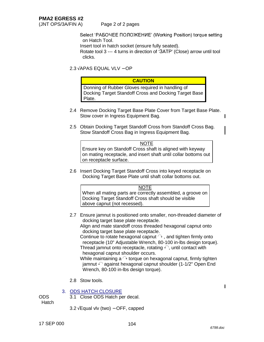Select 'РАБОЧЕЕ ПОЛОЖЕНИЕ' (Working Position) torque setting on Hatch Tool.

Insert tool in hatch socket (ensure fully seated).

Rotate tool 3 --- 4 turns in direction of '3ATP' (Close) arrow until tool clicks.

2.3 √APAS EQUAL VLV – OP

## **CAUTION**

Donning of Rubber Gloves required in handling of Docking Target Standoff Cross and Docking Target Base Plate.

- 2.4 Remove Docking Target Base Plate Cover from Target Base Plate. Stow cover in Ingress Equipment Bag.
- 2.5 Obtain Docking Target Standoff Cross from Standoff Cross Bag. Stow Standoff Cross Bag in Ingress Equipment Bag.

**NOTE** 

Ensure key on Standoff Cross shaft is aligned with keyway on mating receptacle, and insert shaft until collar bottoms out on receptacle surface.

2.6 Insert Docking Target Standoff Cross into keyed receptacle on Docking Target Base Plate until shaft collar bottoms out.

#### **NOTE**

When all mating parts are correctly assembled, a groove on Docking Target Standoff Cross shaft should be visible above capnut (not recessed).

2.7 Ensure jamnut is positioned onto smaller, non-threaded diameter of docking target base plate receptacle.

Align and mate standoff cross threaded hexagonal capnut onto docking target base plate receptacle.

Continue to rotate hexagonal capnut  $\cap$ , and tighten firmly onto receptacle (10" Adjustable Wrench, 80-100 in-lbs design torque). Thread jamnut onto receptacle, rotating  $\bigcap$ , until contact with hexagonal capnut shoulder occurs.

While maintaining a  $\Omega$  torque on hexagonal capnut, firmly tighten jamnut  $\bigcap$  against hexagonal capnut shoulder (1-1/2" Open End Wrench, 80-100 in-lbs design torque).

2.8 Stow tools.

### 3. ODS HATCH CLOSURE

ODS 3.1 Close ODS Hatch per decal.

**Hatch** 

3.2 √Equal vlv (two) − OFF, capped

 $\mathbf{I}$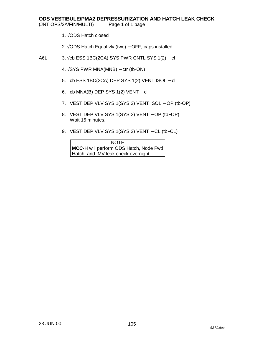### **ODS VESTIBULE/PMA2 DEPRESSURIZATION AND HATCH LEAK CHECK**

(JNT OPS/3A/FIN/MULTI) Page 1 of 1 page

- 1. √ODS Hatch closed
- 2. √ODS Hatch Equal vlv (two) OFF, caps installed
- A6L 3.  $\sqrt{cb}$  ESS 1BC(2CA) SYS PWR CNTL SYS 1(2) cl
	- 4.  $\sqrt{SYS PWR MMA(MNB)} \text{ctr (tb-ON)}$
	- 5. cb ESS 1BC(2CA) DEP SYS 1(2) VENT ISOL − cl
	- 6. cb MNA(B) DEP SYS  $1(2)$  VENT cl
	- 7. VEST DEP VLV SYS 1(SYS 2) VENT ISOL OP (tb-OP)
	- 8. VEST DEP VLV SYS 1(SYS 2) VENT OP (tb–OP) Wait 15 minutes.
	- 9. VEST DEP VLV SYS 1(SYS 2) VENT CL (tb–CL)

**NOTE MCC-H** will perform ODS Hatch, Node Fwd Hatch, and IMV leak check overnight.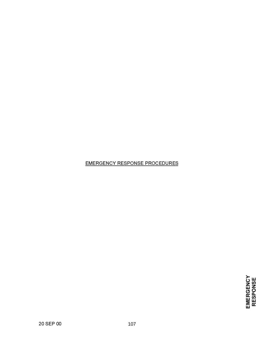# EMERGENCY RESPONSE PROCEDURES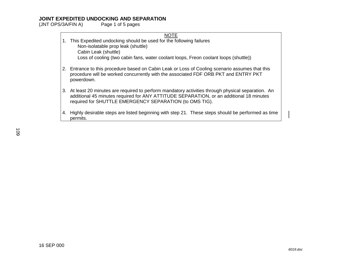(JNT OPS/3A/FIN A) Page 1 of 5 pages

| <b>NULLE</b>                                                                         |
|--------------------------------------------------------------------------------------|
| 1. This Expedited undocking should be used for the following failures                |
| Non-isolatable prop leak (shuttle)                                                   |
| Cabin Leak (shuttle)                                                                 |
| Loss of cooling (two cabin fans, water coolant loops, Freon coolant loops (shuttle)) |

2. Entrance to this procedure based on Cabin Leak or Loss of Cooling scenario assumes that this procedure will be worked concurrently with the associated FDF ORB PKT and ENTRY PKT powerdown.

 $NATF$ 

- 3. At least 20 minutes are required to perform mandatory activities through physical separation. An additional 45 minutes required for ANY ATTITUDE SEPARATION, or an additional 18 minutes required for SHUTTLE EMERGENCY SEPARATION (to OMS TIG).
- 4. Highly desirable steps are listed beginning with step 21. These steps should be performed as time permits.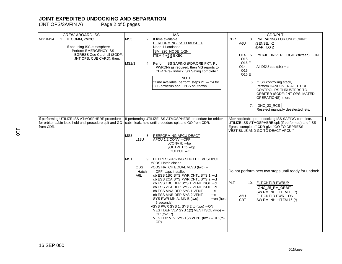(JNT OPS/3A/FIN A) Page 2 of 5 pages

| <b>CREW ABOARD ISS</b>                                                                                                            | <b>MS</b>                                                                                                                                                                                                                                                                                                                                                                                                                                                                                                                                                                                                          | CDR/PLT                                                                                                                                                                                                     |
|-----------------------------------------------------------------------------------------------------------------------------------|--------------------------------------------------------------------------------------------------------------------------------------------------------------------------------------------------------------------------------------------------------------------------------------------------------------------------------------------------------------------------------------------------------------------------------------------------------------------------------------------------------------------------------------------------------------------------------------------------------------------|-------------------------------------------------------------------------------------------------------------------------------------------------------------------------------------------------------------|
| MS1/MS4<br>IF COMM. VMCC<br>$\mathbf{1}$ .<br>If not using ISS atmosphere<br>Perform EMERGENCY ISS<br>EGRESS Cue Card, all (SODF: | MS3<br>2.<br>If time available,<br>PERFORMING ISS LOADSHED<br>Node 1 Loadshed<br>SM_220_NODE_1-2N<br>ITEM 4 +9 9 EXEC                                                                                                                                                                                                                                                                                                                                                                                                                                                                                              | CDR<br>PREPARING FOR UNDOCKING<br>3.<br>$\sqrt{\text{SENSE}}$ : -Z<br>A6U<br>$\sqrt{DAP}$ : LOZ<br>Pri RJD DRIVER, LOGIC (sixteen) - ON<br>014, 5.                                                          |
| JNT OPS: CUE CARD), then:                                                                                                         | MS2/3<br>4. Perform ISS SAFING (FDF, ORB PKT, PL<br>PWRDN) as required, then MS reports to<br>CDR "Pre-Undock ISS Safing complete."<br><b>NOTE</b>                                                                                                                                                                                                                                                                                                                                                                                                                                                                 | O <sub>15</sub><br>O16:F<br>All DDU cbs (six) - cl<br>O14.<br>O <sub>15</sub><br>O16:E                                                                                                                      |
|                                                                                                                                   | If time available, perform steps 21 --- 24 for<br><b>ECS powerup and EPCS shutdown.</b>                                                                                                                                                                                                                                                                                                                                                                                                                                                                                                                            | 6. If ISS controlling stack,<br>Perform HANDOVER ATTITUDE<br>CONTROL RS THRUSTERS TO<br>ORBITER (SODF: JNT OPS: MATED<br>OPERATIONS), then:                                                                 |
|                                                                                                                                   |                                                                                                                                                                                                                                                                                                                                                                                                                                                                                                                                                                                                                    | GNC_23_RCS<br>7.<br>Reselect manually deselected jets.                                                                                                                                                      |
| If performing UTILIZE ISS ATMOSPHERE procedure<br>for orbiter cabin leak, hold until procedure cplt and GO<br>from CDR.           | If performing UTILIZE ISS ATMOSPHERE procedure for orbiter<br>cabin leak, hold until procedure cplt and GO from CDR.                                                                                                                                                                                                                                                                                                                                                                                                                                                                                               | After applicable pre-undocking ISS SAFING complete,<br>UTILIZE ISS ATMOSPHERE cplt (if performed) and "ISS<br>Egress complete," CDR give "GO TO DEPRESS<br>VESTIBULE AND GO TO DEACT APCU."                 |
|                                                                                                                                   | MS3<br>8. PERFORMING APCU DEACT<br>L12U<br>APCU 1,2 CONV - OFF<br>$\sqrt{$ CONV tb – bp<br>$\sqrt{$ OUTPUT tb – bp<br><b>OUTPUT - OFF</b>                                                                                                                                                                                                                                                                                                                                                                                                                                                                          |                                                                                                                                                                                                             |
|                                                                                                                                   | MS1<br>9. DEPRESSURIZING SHUTTLE VESTIBULE<br>√ODS Hatch closed<br><b>ODS</b><br>$\sqrt{ODS}$ HATCH EQUAL VLVS (two) -<br>Hatch<br>OFF, caps installed<br>cb ESS 1BC SYS PWR CNTL SYS 1-cl<br>A6L<br>cb ESS 2CA SYS PWR CNTL SYS 2 - cl<br>cb ESS 1BC DEP SYS 1 VENT ISOL - cl<br>cb ESS 2CA DEP SYS 2 VENT ISOL - cl<br>cb ESS MNA DEP SYS 1 VENT<br>$-c$<br>cb ESS MNB DEP SYS 2 VENT<br>$-c$<br>SYS PWR MN A, MN B (two)<br>– on (hold<br>5 seconds)<br>$\sqrt{SYS$ PWR SYS 1, SYS 2 tb (two) – ON<br>VEST DEP VLV SYS 1(2) VENT ISOL (two) -<br>OP (tb-OP)<br>VEST DP VLV SYS 1(2) VENT (two) - OP (tb-<br>OP) | Do not perform next two steps until ready for undock.<br><b>PLT</b><br>10. FLT CNTLR PWRUP<br>GNC 25 RM ORBIT<br>SW RM INH $-$ ITEM 16 $(*)$<br>A6U<br>FLT CNTLR PWR - ON<br>CRT<br>SW RM INH - ITEM 16 (*) |

 $\mathbf I$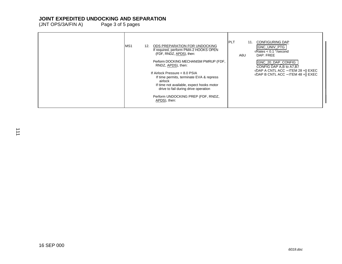(JNT OPS/3A/FIN A) Page 3 of 5 pages

|                        |                                                                                                    | <b>PLT</b> | 11. | <b>CONFIGURING DAP</b>                                                                   |
|------------------------|----------------------------------------------------------------------------------------------------|------------|-----|------------------------------------------------------------------------------------------|
| MS <sub>1</sub><br>12. | ODS PREPARATION FOR UNDOCKING<br>If required, perform PMA-2 HOOKS OPEN<br>(FDF, RNDZ, APDS), then: |            | A6U | <b>GNC UNIV PTG</b><br>$\sqrt{\text{Rates}}$ < 0.1 °/second<br>DAP: FREE                 |
|                        | Perform DOCKING MECHANISM PWRUP (FDF,<br>RNDZ, APDS), then:                                        |            |     | GNC_20_DAP_CONFIG<br>CONFIG DAP A,B to A7,B7                                             |
|                        | If Airlock Pressure < 8.0 PSIA<br>If time permits, terminate EVA & repress<br>airlock              |            |     | $\sqrt{}$ DAP A CNTL ACC – ITEM 28 +0 EXEC<br>$\sqrt{}$ DAP B CNTL ACC - ITEM 48 +0 EXEC |
|                        | If time not available, expect hooks motor<br>drive to fail during drive operation                  |            |     |                                                                                          |
|                        | Perform UNDOCKING PREP (FDF, RNDZ,<br>APDS), then:                                                 |            |     |                                                                                          |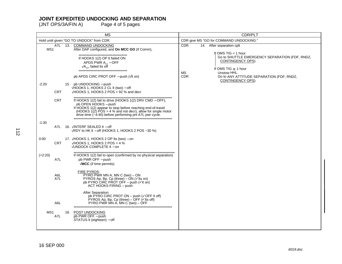(JNT OPS/3A/FIN A)

# Page 4 of 5 pages

| <b>MS</b>                                                                                                                                                                                                                                                                                                                                                                                                                                                                                                                                                                                                                                                                                                                                                                                                                                                                                                                                                                                                                                                                                                                                                                                                                                                                                                                                                                                                                                           | CDR/PLT                                                                                                                                                                                                                                                                  |  |  |  |
|-----------------------------------------------------------------------------------------------------------------------------------------------------------------------------------------------------------------------------------------------------------------------------------------------------------------------------------------------------------------------------------------------------------------------------------------------------------------------------------------------------------------------------------------------------------------------------------------------------------------------------------------------------------------------------------------------------------------------------------------------------------------------------------------------------------------------------------------------------------------------------------------------------------------------------------------------------------------------------------------------------------------------------------------------------------------------------------------------------------------------------------------------------------------------------------------------------------------------------------------------------------------------------------------------------------------------------------------------------------------------------------------------------------------------------------------------------|--------------------------------------------------------------------------------------------------------------------------------------------------------------------------------------------------------------------------------------------------------------------------|--|--|--|
| Hold until given "GO TO UNDOCK" from CDR.                                                                                                                                                                                                                                                                                                                                                                                                                                                                                                                                                                                                                                                                                                                                                                                                                                                                                                                                                                                                                                                                                                                                                                                                                                                                                                                                                                                                           | CDR give MS "GO for COMMAND UNDOCKING."                                                                                                                                                                                                                                  |  |  |  |
| A7L<br>13.<br><b>COMMAND UNDOCKING</b><br>MS <sub>1</sub><br>After DAP configured, and On MCC GO (if Comm),<br>***********************************<br>If HOOKS 1(2) OP It failed ON<br>APDS PWR $A_{\rm{ns}}$ – OFF<br>$\sqrt{\mathsf{A}_{\text{DS}}}$ , failed Its off<br>*************************************<br>pb APDS CIRC PROT OFF - push ( $\sqrt{1}$ t on)<br>$-2:20$<br>15. pb UNDOCKING - push<br>√HOOKS 1, HOOKS 2 CL lt (two) – off<br>CRT<br>√HOOKS 1, HOOKS 2 POS < 92 % and decr<br><b>CRT</b><br>If HOOKS 1(2) fail to drive (HOOKS 1(2) DRV CMD - OFF),<br>pb OPEN HOOKS - push<br>If HOOKS 1(2) appear to stop before reaching end-of-travel<br>(HOOKS $1(2)$ POS $> 4$ % and not decr), allow for single motor<br>drive time (~4:40) before performing pnl A7L pwr cycle.<br>$-1:30$<br>A7L $16.$ $\sqrt{INTERF}$ SEALED It – off<br>$\sqrt{RDY}$ to HK It – off (HOOKS 1, HOOKS 2 POS ~30 %)<br>17. $\sqrt{H}$ OOKS 1, HOOKS 2 OP Its (two) – on<br>0:00<br><b>CRT</b><br>$\sqrt{H}$ OOKS 1, HOOKS 2 POS = 4 %<br>√UNDOCK COMPLETE It – on<br>$(+2:20)$<br>If HOOKS 1(2) fail to open (confirmed by no physical separation)<br>A7L<br>pb PWR OFF - push<br>$\sqrt{MCC}$ (if time permits)<br><b>FIRE PYROS:</b><br>A6L<br>PYRO PWR MN A, MN C (two) – ON<br>A7L<br>PYROS Ap, Bp, Cp (three) – ON ( $\checkmark$ Its on)<br>$pb$ PYRO CIRC PROT OFF – push ( $\checkmark$ t on)<br>ACT HOOKS FIRING - push<br>After Separation: | <b>CDR</b><br>14. After separation cplt<br>If OMS $TIG < 1$ hour<br>Go to SHUTTLE EMERGENCY SEPARATION (FDF, RNDZ,<br>CONTINGENCY OPS).<br>If OMS TIG $\geq 1$ hour<br>МS<br>Unstow HHL.<br><b>CDR</b><br>Go to ANY ATTITUDE SEPARATION (FDF, RNDZ,<br>CONTINGENCY OPS). |  |  |  |
| pb PYRO CIRC PROT ON - push (√OFF It off)<br>PYROS Ap, Bp, Cp (three) – OFF ( $\checkmark$ lts off)<br>A6L<br>PYRO PWR MN A, MN C (two) – OFF<br>MS1<br>POST UNDOCKING<br>18.<br>$pb$ PWR OFF $-$ push<br>A7L<br>STATUS It (eighteen) – off                                                                                                                                                                                                                                                                                                                                                                                                                                                                                                                                                                                                                                                                                                                                                                                                                                                                                                                                                                                                                                                                                                                                                                                                         |                                                                                                                                                                                                                                                                          |  |  |  |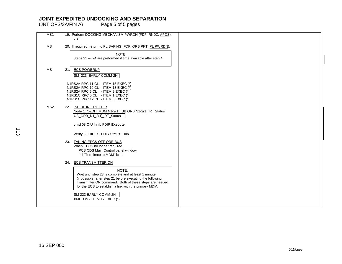(JNT OPS/3A/FIN A) Page 5 of 5 pages

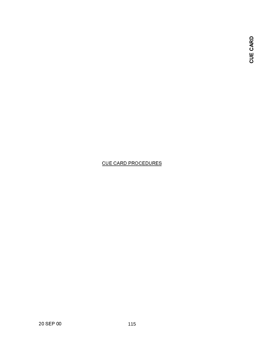# **CUE CARD PROCEDURES**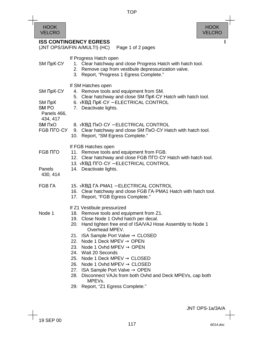TOP



SM <sub>Пр</sub>К-СУ



#### **ISS CONTINGENCY EGRESS**

(JNT OPS/3A/FIN A/MULTI) (HC) Page 1 of 2 pages

- If Progress Hatch open
	- 1. Clear hatchway and close Progress Hatch with hatch tool.
	- 2. Remove cap from vestibule depressurization valve.
	- 3. Report, "Progress 1 Egress Complete."

If SM Hatches open

- 4. Remove tools and equipment from SM.
- 5. Clear hatchway and close SM NpK-CY Hatch with hatch tool.
- $SM$   $\neg$ p $K$ рК 6. √КВД ПрК-СУ – ELECTRICAL CONTROL
	- 7. Deactivate lights.

Panels 466,

SM PO

 $SM$   $\neg$   $\neg$   $\neg$   $\neg$   $\vee$ 

434, 417

- $\mathsf{SM}\,\Pi$ хO 8. √КВД ПхO-CУ – ELECTRICAL CONTROL
- FGB <sub>ITO-CY</sub> FO-CY 9. Clear hatchway and close SM  $TxO-CY$  Hatch with hatch tool.
	- 10. Report, "SM Egress Complete."

If FGB Hatches open

- FGB <sub>ITO</sub> 11. Remove tools and equipment from FGB.
	- 12. Clear hatchway and close FGB NFO-CY Hatch with hatch tool.
	- 13. √КВД ПГО-СУ ELECTRICAL CONTROL
- Panels 14. Deactivate lights.

430, 414

- FGB 15. √ PMA1 − ELECTRICAL CONTROL
	- 16. Clear hatchway and close FGB FA-PMA1 Hatch with hatch tool.
	- 17. Report, "FGB Egress Complete."
	- If Z1 Vestibule pressurized
- Node 1 18. Remove tools and equipment from Z1.
	- 19. Close Node 1 Ovhd hatch per decal.
		- 20. Hand tighten free end of ISA/VAJ Hose Assembly to Node 1 Overhead MPEV.
		- 21. ISA Sample Port Valve  $\rightarrow$  CLOSED
		- 22. Node 1 Deck MPEV  $\rightarrow$  OPEN
		- 23. Node 1 Ovhd MPEV  $\rightarrow$  OPEN
		- 24. Wait 20 Seconds
		- 25. Node 1 Deck MPEV  $\rightarrow$  CLOSED
		- 26. Node 1 Ovhd MPEV  $\rightarrow$  CLOSED
		- 27. ISA Sample Port Valve  $\rightarrow$  OPEN
		- 28. Disconnect VAJs from both Ovhd and Deck MPEVs, cap both MPEVs.
		- 29. Report, "Z1 Egress Complete."

19 SEP 00

JNT OPS-1a/3A/A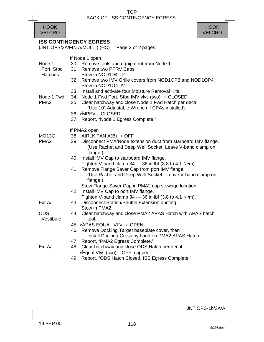



# **ISS CONTINGENCY EGRESS**

(JNT OPS/3A/FIN A/MULTI) (HC) Page 2 of 2 pages

If Node 1 open

| Node 1                  | 30. Remove tools and equipment from Node 1.<br>Remove two PPRV Caps.<br>31.                                                              |
|-------------------------|------------------------------------------------------------------------------------------------------------------------------------------|
| Port, Stbd<br>Hatches   | Stow in NOD1D4_D1.                                                                                                                       |
|                         | Remove two IMV Grille covers from NOD1OP3 and NOD1OP4.<br>32.<br>Stow in NOD1O4 A1.                                                      |
|                         | Install and activate four Moisture Removal Kits.<br>33.                                                                                  |
| Node 1 Fwd              | Node 1 Fwd Port, Stbd IMV vlvs (two) $\rightarrow$ CLOSED<br>34.                                                                         |
| PMA <sub>2</sub>        | Clear hatchway and close Node 1 Fwd Hatch per decal<br>35.<br>(Use 10" Adjustable Wrench if CPAs installed).                             |
|                         | 36. √MPEV – CLOSED                                                                                                                       |
|                         | 37. Report, "Node 1 Egress Complete."                                                                                                    |
|                         | If PMA2 open                                                                                                                             |
| <b>MO13Q</b>            | 38. AIRLK FAN $A(B) \rightarrow$ OFF                                                                                                     |
| PMA <sub>2</sub>        | 39. Disconnect PMA/Node extension duct from starboard IMV flange.<br>(Use Rachet and Deep Well Socket. Leave V-band clamp on<br>flange.) |
|                         | 40. Install IMV Cap to starboard IMV flange.                                                                                             |
|                         | Tighten V-band clamp 34 --- 36 in-lbf $(3.8 \text{ to } 4.1 \text{ N}\bullet\text{m})$ .                                                 |
|                         | 41. Remove Flange Saver Cap from port IMV flange.                                                                                        |
|                         | (Use Rachet and Deep Well Socket. Leave V-band clamp on<br>flange.)                                                                      |
|                         | Stow Flange Saver Cap in PMA2 cap stowage location.                                                                                      |
|                         | Install IMV Cap to port IMV flange.<br>42.                                                                                               |
|                         | Tighten V-band clamp 34 --- 36 in-lbf (3.8 to 4.1 Nom).                                                                                  |
| Ext A/L                 | Disconnect Station/Shuttle Extension ducting.<br>43.                                                                                     |
|                         | Stow in PMA2.                                                                                                                            |
| <b>ODS</b><br>Vestibule | Clear hatchway and close PMA2 APAS Hatch with APAS hatch<br>44.<br>tool.                                                                 |
|                         | 45. $\sqrt{APAS}$ EQUAL VLV $\rightarrow$ OPEN                                                                                           |
|                         | 46. Remove Docking Target baseplate cover, then                                                                                          |
|                         | Install Docking Cross by hand on PMA2 APAS Hatch.                                                                                        |
|                         | 47. Report, "PMA2 Egress Complete."                                                                                                      |
| Ext A/L                 | 48. Clear hatchway and close ODS Hatch per decal.                                                                                        |
|                         | $\sqrt{$ Equal VIvs (two) – OFF, capped                                                                                                  |
|                         | 49. Report, "ODS Hatch Closed, ISS Egress Complete."                                                                                     |

JNT OPS-1b/3A/A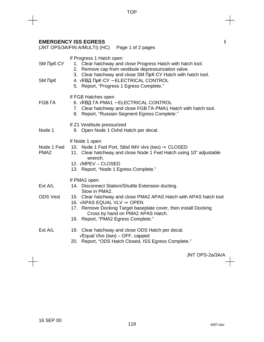## **EMERGENCY ISS EGRESS**

(JNT OPS/3A/FIN A/MULTI) (HC) Page 1 of 2 pages If Progress 1 Hatch open  $SM$   $\n *ThK-CY*\n$  1. Clear hatchway and close Progress Hatch with hatch tool. 2. Remove cap from vestibule depressurization valve. 3. Clear hatchway and close SM NpK-CY Hatch with hatch tool.  $SM$   $\neg$ p $K$ рК 4. √КВД ПрК-СУ – ELECTRICAL CONTROL 5. Report, "Progress 1 Egress Complete." If FGB Hatches open **FGB FA** A 6. √КВД ГА-РМА1 – ELECTRICAL CONTROL 7. Clear hatchway and close FGB TA-PMA1 Hatch with hatch tool. 8. Report, "Russian Segment Egress Complete." If Z1 Vestibule pressurized Node 1 9. Open Node 1 Ovhd Hatch per decal. If Node 1 open Node 1 Fwd 10. Node 1 Fwd Port, Stbd IMV vlvs (two)  $\rightarrow$  CLOSED<br>PMA2 11. Clear hatchway and close Node 1 Fwd Hatch using 11. Clear hatchway and close Node 1 Fwd Hatch using 10" adjustable wrench. 12. √MPEV – CLOSED 13. Report, "Node 1 Egress Complete." If PMA2 open Ext A/L 14. Disconnect Station/Shuttle Extension ducting. Stow in PMA2. ODS Vest 15. Clear hatchway and close PMA2 APAS Hatch with APAS hatch tool 16.  $\sqrt{APAS}$  EQUAL VLV  $\rightarrow$  OPEN 17. Remove Docking Target baseplate cover, then install Docking Cross by hand on PMA2 APAS Hatch. 18. Report, "PMA2 Egress Complete." Ext A/L 19. Clear hatchway and close ODS Hatch per decal. √Equal Vlvs (two) – OFF, capped 20. Report, "ODS Hatch Closed, ISS Egress Complete."

JNT OPS-2a/3A/A

П